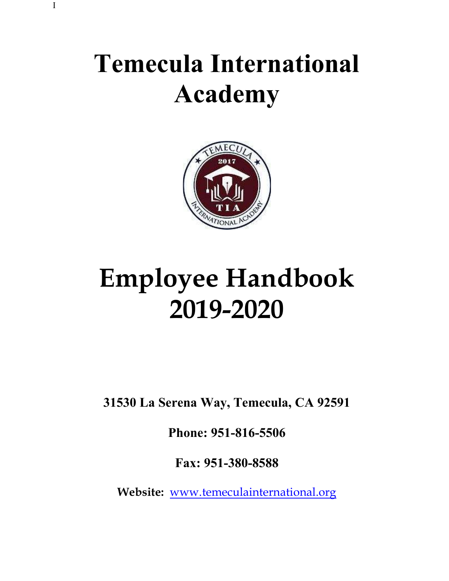# Temecula International Academy



# Employee Handbook 2019-2020

31530 La Serena Way, Temecula, CA 92591

Phone: 951-816-5506

Fax: 951-380-8588

Website: www.temeculainternational.org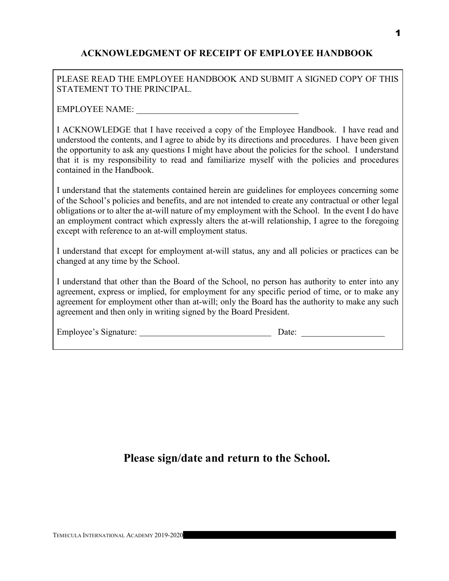# ACKNOWLEDGMENT OF RECEIPT OF EMPLOYEE HANDBOOK

PLEASE READ THE EMPLOYEE HANDBOOK AND SUBMIT A SIGNED COPY OF THIS STATEMENT TO THE PRINCIPAL.

EMPLOYEE NAME:

I ACKNOWLEDGE that I have received a copy of the Employee Handbook. I have read and understood the contents, and I agree to abide by its directions and procedures. I have been given the opportunity to ask any questions I might have about the policies for the school. I understand that it is my responsibility to read and familiarize myself with the policies and procedures contained in the Handbook.

I understand that the statements contained herein are guidelines for employees concerning some of the School's policies and benefits, and are not intended to create any contractual or other legal obligations or to alter the at-will nature of my employment with the School. In the event I do have an employment contract which expressly alters the at-will relationship, I agree to the foregoing except with reference to an at-will employment status.

I understand that except for employment at-will status, any and all policies or practices can be changed at any time by the School.

I understand that other than the Board of the School, no person has authority to enter into any agreement, express or implied, for employment for any specific period of time, or to make any agreement for employment other than at-will; only the Board has the authority to make any such agreement and then only in writing signed by the Board President.

|  |  | Employee's Signature: |
|--|--|-----------------------|
|--|--|-----------------------|

 $Date:$ 

Please sign/date and return to the School.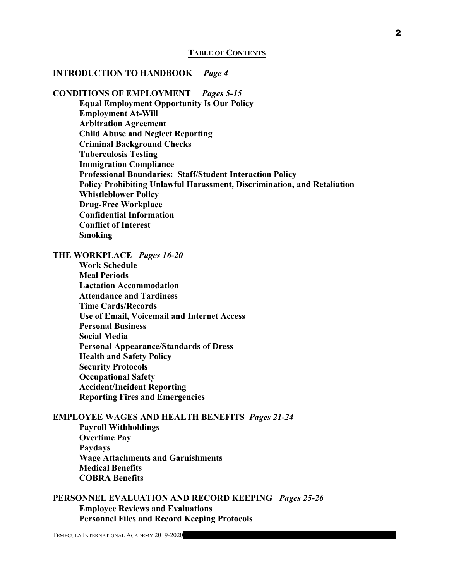#### INTRODUCTION TO HANDBOOK Page 4

CONDITIONS OF EMPLOYMENT Pages 5-15 Equal Employment Opportunity Is Our Policy Employment At-Will Arbitration Agreement Child Abuse and Neglect Reporting Criminal Background Checks Tuberculosis Testing Immigration Compliance Professional Boundaries: Staff/Student Interaction Policy Policy Prohibiting Unlawful Harassment, Discrimination, and Retaliation Whistleblower Policy Drug-Free Workplace Confidential Information Conflict of Interest Smoking

THE WORKPLACE Pages 16-20

Work Schedule Meal Periods Lactation Accommodation Attendance and Tardiness Time Cards/Records Use of Email, Voicemail and Internet Access Personal Business Social Media Personal Appearance/Standards of Dress Health and Safety Policy Security Protocols Occupational Safety Accident/Incident Reporting Reporting Fires and Emergencies

#### EMPLOYEE WAGES AND HEALTH BENEFITS Pages 21-24 Payroll Withholdings Overtime Pay Paydays Wage Attachments and Garnishments Medical Benefits COBRA Benefits

PERSONNEL EVALUATION AND RECORD KEEPING Pages 25-26 Employee Reviews and Evaluations Personnel Files and Record Keeping Protocols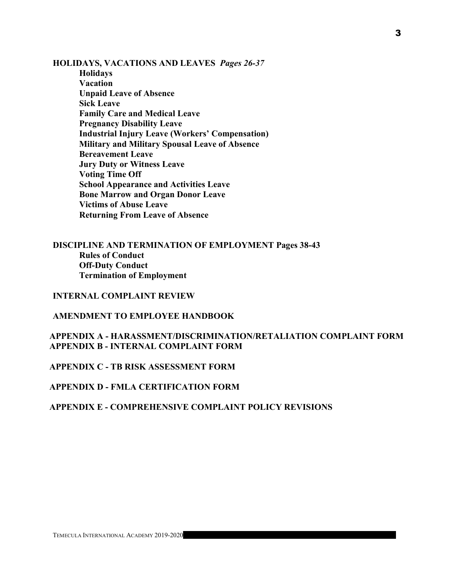HOLIDAYS, VACATIONS AND LEAVES Pages 26-37 Holidays

Vacation Unpaid Leave of Absence Sick Leave Family Care and Medical Leave Pregnancy Disability Leave Industrial Injury Leave (Workers' Compensation) Military and Military Spousal Leave of Absence Bereavement Leave Jury Duty or Witness Leave Voting Time Off School Appearance and Activities Leave Bone Marrow and Organ Donor Leave Victims of Abuse Leave Returning From Leave of Absence

DISCIPLINE AND TERMINATION OF EMPLOYMENT Pages 38-43 Rules of Conduct Off-Duty Conduct Termination of Employment

INTERNAL COMPLAINT REVIEW

AMENDMENT TO EMPLOYEE HANDBOOK

APPENDIX A - HARASSMENT/DISCRIMINATION/RETALIATION COMPLAINT FORM APPENDIX B - INTERNAL COMPLAINT FORM

APPENDIX C - TB RISK ASSESSMENT FORM

APPENDIX D - FMLA CERTIFICATION FORM

#### APPENDIX E - COMPREHENSIVE COMPLAINT POLICY REVISIONS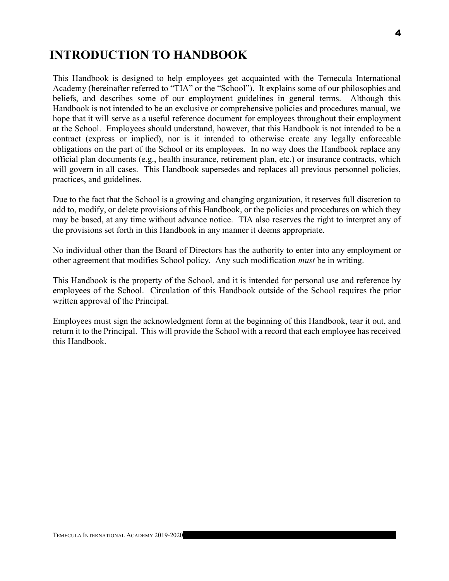# INTRODUCTION TO HANDBOOK

This Handbook is designed to help employees get acquainted with the Temecula International Academy (hereinafter referred to "TIA" or the "School"). It explains some of our philosophies and beliefs, and describes some of our employment guidelines in general terms. Although this Handbook is not intended to be an exclusive or comprehensive policies and procedures manual, we hope that it will serve as a useful reference document for employees throughout their employment at the School. Employees should understand, however, that this Handbook is not intended to be a contract (express or implied), nor is it intended to otherwise create any legally enforceable obligations on the part of the School or its employees. In no way does the Handbook replace any official plan documents (e.g., health insurance, retirement plan, etc.) or insurance contracts, which will govern in all cases. This Handbook supersedes and replaces all previous personnel policies, practices, and guidelines.

Due to the fact that the School is a growing and changing organization, it reserves full discretion to add to, modify, or delete provisions of this Handbook, or the policies and procedures on which they may be based, at any time without advance notice. TIA also reserves the right to interpret any of the provisions set forth in this Handbook in any manner it deems appropriate.

No individual other than the Board of Directors has the authority to enter into any employment or other agreement that modifies School policy. Any such modification must be in writing.

This Handbook is the property of the School, and it is intended for personal use and reference by employees of the School. Circulation of this Handbook outside of the School requires the prior written approval of the Principal.

Employees must sign the acknowledgment form at the beginning of this Handbook, tear it out, and return it to the Principal. This will provide the School with a record that each employee has received this Handbook.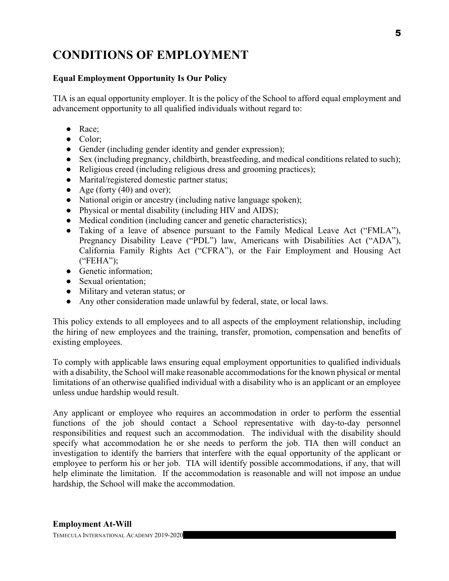# CONDITIONS OF EMPLOYMENT

## Equal Employment Opportunity Is Our Policy

TIA is an equal opportunity employer. It is the policy of the School to afford equal employment and advancement opportunity to all qualified individuals without regard to:

- Race;
- Color:
- Gender (including gender identity and gender expression);
- Sex (including pregnancy, childbirth, breastfeeding, and medical conditions related to such);
- Religious creed (including religious dress and grooming practices);
- Marital/registered domestic partner status;
- Age (forty  $(40)$  and over);
- National origin or ancestry (including native language spoken);
- Physical or mental disability (including HIV and AIDS);
- Medical condition (including cancer and genetic characteristics);
- Taking of a leave of absence pursuant to the Family Medical Leave Act ("FMLA"), Pregnancy Disability Leave ("PDL") law, Americans with Disabilities Act ("ADA"), California Family Rights Act ("CFRA"), or the Fair Employment and Housing Act ("FEHA");
- Genetic information;
- Sexual orientation:
- Military and veteran status; or
- Any other consideration made unlawful by federal, state, or local laws.

This policy extends to all employees and to all aspects of the employment relationship, including the hiring of new employees and the training, transfer, promotion, compensation and benefits of existing employees.

To comply with applicable laws ensuring equal employment opportunities to qualified individuals with a disability, the School will make reasonable accommodations for the known physical or mental limitations of an otherwise qualified individual with a disability who is an applicant or an employee unless undue hardship would result.

Any applicant or employee who requires an accommodation in order to perform the essential functions of the job should contact a School representative with day-to-day personnel responsibilities and request such an accommodation. The individual with the disability should specify what accommodation he or she needs to perform the job. TIA then will conduct an investigation to identify the barriers that interfere with the equal opportunity of the applicant or employee to perform his or her job. TIA will identify possible accommodations, if any, that will help eliminate the limitation. If the accommodation is reasonable and will not impose an undue hardship, the School will make the accommodation.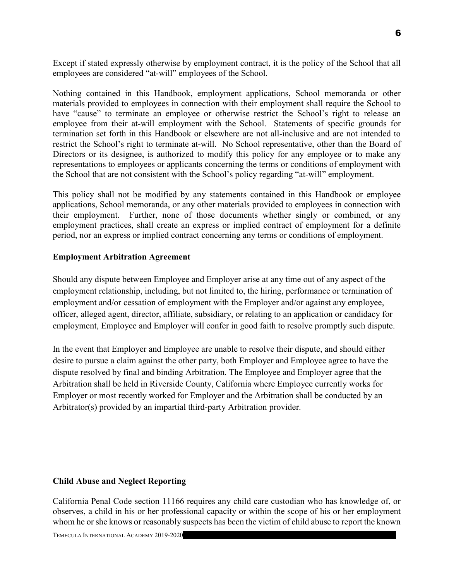Except if stated expressly otherwise by employment contract, it is the policy of the School that all employees are considered "at-will" employees of the School.

Nothing contained in this Handbook, employment applications, School memoranda or other materials provided to employees in connection with their employment shall require the School to have "cause" to terminate an employee or otherwise restrict the School's right to release an employee from their at-will employment with the School. Statements of specific grounds for termination set forth in this Handbook or elsewhere are not all-inclusive and are not intended to restrict the School's right to terminate at-will. No School representative, other than the Board of Directors or its designee, is authorized to modify this policy for any employee or to make any representations to employees or applicants concerning the terms or conditions of employment with the School that are not consistent with the School's policy regarding "at-will" employment.

This policy shall not be modified by any statements contained in this Handbook or employee applications, School memoranda, or any other materials provided to employees in connection with their employment. Further, none of those documents whether singly or combined, or any employment practices, shall create an express or implied contract of employment for a definite period, nor an express or implied contract concerning any terms or conditions of employment.

#### Employment Arbitration Agreement

Should any dispute between Employee and Employer arise at any time out of any aspect of the employment relationship, including, but not limited to, the hiring, performance or termination of employment and/or cessation of employment with the Employer and/or against any employee, officer, alleged agent, director, affiliate, subsidiary, or relating to an application or candidacy for employment, Employee and Employer will confer in good faith to resolve promptly such dispute.

In the event that Employer and Employee are unable to resolve their dispute, and should either desire to pursue a claim against the other party, both Employer and Employee agree to have the dispute resolved by final and binding Arbitration. The Employee and Employer agree that the Arbitration shall be held in Riverside County, California where Employee currently works for Employer or most recently worked for Employer and the Arbitration shall be conducted by an Arbitrator(s) provided by an impartial third-party Arbitration provider.

#### Child Abuse and Neglect Reporting

California Penal Code section 11166 requires any child care custodian who has knowledge of, or observes, a child in his or her professional capacity or within the scope of his or her employment whom he or she knows or reasonably suspects has been the victim of child abuse to report the known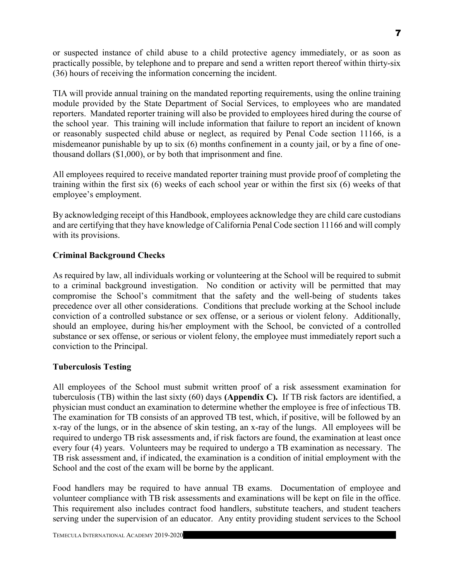or suspected instance of child abuse to a child protective agency immediately, or as soon as practically possible, by telephone and to prepare and send a written report thereof within thirty-six (36) hours of receiving the information concerning the incident.

TIA will provide annual training on the mandated reporting requirements, using the online training module provided by the State Department of Social Services, to employees who are mandated reporters. Mandated reporter training will also be provided to employees hired during the course of the school year. This training will include information that failure to report an incident of known or reasonably suspected child abuse or neglect, as required by Penal Code section 11166, is a misdemeanor punishable by up to six (6) months confinement in a county jail, or by a fine of onethousand dollars (\$1,000), or by both that imprisonment and fine.

All employees required to receive mandated reporter training must provide proof of completing the training within the first six (6) weeks of each school year or within the first six (6) weeks of that employee's employment.

By acknowledging receipt of this Handbook, employees acknowledge they are child care custodians and are certifying that they have knowledge of California Penal Code section 11166 and will comply with its provisions.

#### Criminal Background Checks

As required by law, all individuals working or volunteering at the School will be required to submit to a criminal background investigation. No condition or activity will be permitted that may compromise the School's commitment that the safety and the well-being of students takes precedence over all other considerations. Conditions that preclude working at the School include conviction of a controlled substance or sex offense, or a serious or violent felony. Additionally, should an employee, during his/her employment with the School, be convicted of a controlled substance or sex offense, or serious or violent felony, the employee must immediately report such a conviction to the Principal.

#### Tuberculosis Testing

All employees of the School must submit written proof of a risk assessment examination for tuberculosis (TB) within the last sixty (60) days (Appendix C). If TB risk factors are identified, a physician must conduct an examination to determine whether the employee is free of infectious TB. The examination for TB consists of an approved TB test, which, if positive, will be followed by an x-ray of the lungs, or in the absence of skin testing, an x-ray of the lungs. All employees will be required to undergo TB risk assessments and, if risk factors are found, the examination at least once every four (4) years. Volunteers may be required to undergo a TB examination as necessary. The TB risk assessment and, if indicated, the examination is a condition of initial employment with the School and the cost of the exam will be borne by the applicant.

Food handlers may be required to have annual TB exams. Documentation of employee and volunteer compliance with TB risk assessments and examinations will be kept on file in the office. This requirement also includes contract food handlers, substitute teachers, and student teachers serving under the supervision of an educator. Any entity providing student services to the School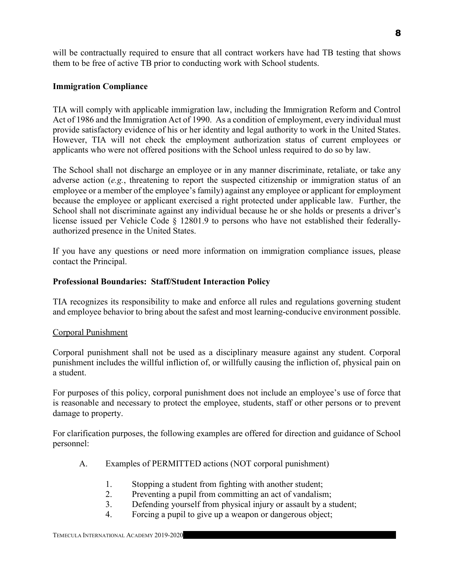will be contractually required to ensure that all contract workers have had TB testing that shows them to be free of active TB prior to conducting work with School students.

## Immigration Compliance

TIA will comply with applicable immigration law, including the Immigration Reform and Control Act of 1986 and the Immigration Act of 1990. As a condition of employment, every individual must provide satisfactory evidence of his or her identity and legal authority to work in the United States. However, TIA will not check the employment authorization status of current employees or applicants who were not offered positions with the School unless required to do so by law.

The School shall not discharge an employee or in any manner discriminate, retaliate, or take any adverse action (e.g., threatening to report the suspected citizenship or immigration status of an employee or a member of the employee's family) against any employee or applicant for employment because the employee or applicant exercised a right protected under applicable law. Further, the School shall not discriminate against any individual because he or she holds or presents a driver's license issued per Vehicle Code § 12801.9 to persons who have not established their federallyauthorized presence in the United States.

If you have any questions or need more information on immigration compliance issues, please contact the Principal.

#### Professional Boundaries: Staff/Student Interaction Policy

TIA recognizes its responsibility to make and enforce all rules and regulations governing student and employee behavior to bring about the safest and most learning-conducive environment possible.

#### Corporal Punishment

Corporal punishment shall not be used as a disciplinary measure against any student. Corporal punishment includes the willful infliction of, or willfully causing the infliction of, physical pain on a student.

For purposes of this policy, corporal punishment does not include an employee's use of force that is reasonable and necessary to protect the employee, students, staff or other persons or to prevent damage to property.

For clarification purposes, the following examples are offered for direction and guidance of School personnel:

- A. Examples of PERMITTED actions (NOT corporal punishment)
	- 1. Stopping a student from fighting with another student;
	- 2. Preventing a pupil from committing an act of vandalism;
	- 3. Defending yourself from physical injury or assault by a student;
	- 4. Forcing a pupil to give up a weapon or dangerous object;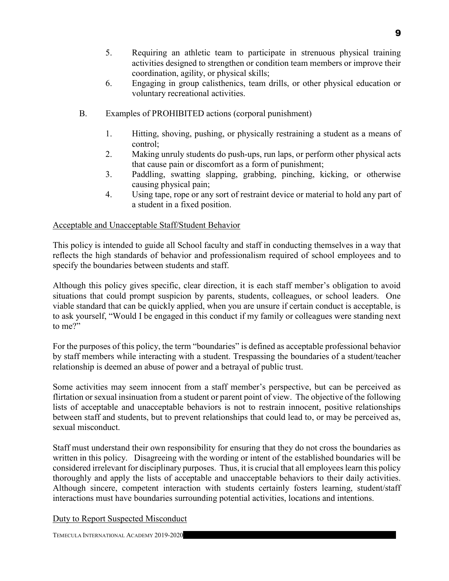- 5. Requiring an athletic team to participate in strenuous physical training activities designed to strengthen or condition team members or improve their coordination, agility, or physical skills;
- 6. Engaging in group calisthenics, team drills, or other physical education or voluntary recreational activities.
- B. Examples of PROHIBITED actions (corporal punishment)
	- 1. Hitting, shoving, pushing, or physically restraining a student as a means of control;
	- 2. Making unruly students do push-ups, run laps, or perform other physical acts that cause pain or discomfort as a form of punishment;
	- 3. Paddling, swatting slapping, grabbing, pinching, kicking, or otherwise causing physical pain;
	- 4. Using tape, rope or any sort of restraint device or material to hold any part of a student in a fixed position.

## Acceptable and Unacceptable Staff/Student Behavior

This policy is intended to guide all School faculty and staff in conducting themselves in a way that reflects the high standards of behavior and professionalism required of school employees and to specify the boundaries between students and staff.

Although this policy gives specific, clear direction, it is each staff member's obligation to avoid situations that could prompt suspicion by parents, students, colleagues, or school leaders. One viable standard that can be quickly applied, when you are unsure if certain conduct is acceptable, is to ask yourself, "Would I be engaged in this conduct if my family or colleagues were standing next to me?"

For the purposes of this policy, the term "boundaries" is defined as acceptable professional behavior by staff members while interacting with a student. Trespassing the boundaries of a student/teacher relationship is deemed an abuse of power and a betrayal of public trust.

Some activities may seem innocent from a staff member's perspective, but can be perceived as flirtation or sexual insinuation from a student or parent point of view. The objective of the following lists of acceptable and unacceptable behaviors is not to restrain innocent, positive relationships between staff and students, but to prevent relationships that could lead to, or may be perceived as, sexual misconduct.

Staff must understand their own responsibility for ensuring that they do not cross the boundaries as written in this policy. Disagreeing with the wording or intent of the established boundaries will be considered irrelevant for disciplinary purposes. Thus, it is crucial that all employees learn this policy thoroughly and apply the lists of acceptable and unacceptable behaviors to their daily activities. Although sincere, competent interaction with students certainly fosters learning, student/staff interactions must have boundaries surrounding potential activities, locations and intentions.

Duty to Report Suspected Misconduct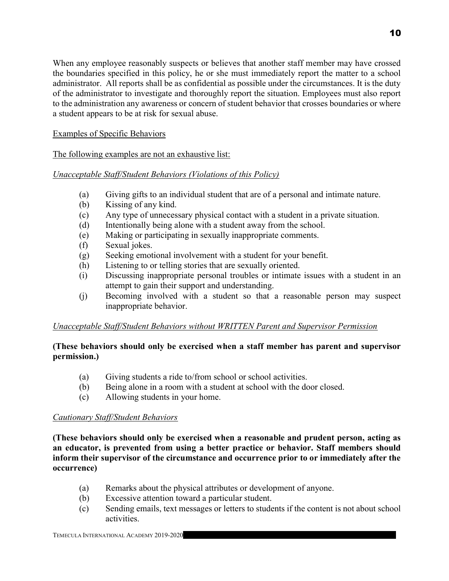When any employee reasonably suspects or believes that another staff member may have crossed the boundaries specified in this policy, he or she must immediately report the matter to a school administrator. All reports shall be as confidential as possible under the circumstances. It is the duty of the administrator to investigate and thoroughly report the situation. Employees must also report to the administration any awareness or concern of student behavior that crosses boundaries or where a student appears to be at risk for sexual abuse.

#### Examples of Specific Behaviors

The following examples are not an exhaustive list:

## Unacceptable Staff/Student Behaviors (Violations of this Policy)

- (a) Giving gifts to an individual student that are of a personal and intimate nature.
- (b) Kissing of any kind.
- (c) Any type of unnecessary physical contact with a student in a private situation.
- (d) Intentionally being alone with a student away from the school.
- (e) Making or participating in sexually inappropriate comments.
- (f) Sexual jokes.
- (g) Seeking emotional involvement with a student for your benefit.
- (h) Listening to or telling stories that are sexually oriented.
- (i) Discussing inappropriate personal troubles or intimate issues with a student in an attempt to gain their support and understanding.
- (j) Becoming involved with a student so that a reasonable person may suspect inappropriate behavior.

#### Unacceptable Staff/Student Behaviors without WRITTEN Parent and Supervisor Permission

#### (These behaviors should only be exercised when a staff member has parent and supervisor permission.)

- (a) Giving students a ride to/from school or school activities.
- (b) Being alone in a room with a student at school with the door closed.
- (c) Allowing students in your home.

#### Cautionary Staff/Student Behaviors

(These behaviors should only be exercised when a reasonable and prudent person, acting as an educator, is prevented from using a better practice or behavior. Staff members should inform their supervisor of the circumstance and occurrence prior to or immediately after the occurrence)

- (a) Remarks about the physical attributes or development of anyone.
- (b) Excessive attention toward a particular student.
- (c) Sending emails, text messages or letters to students if the content is not about school activities.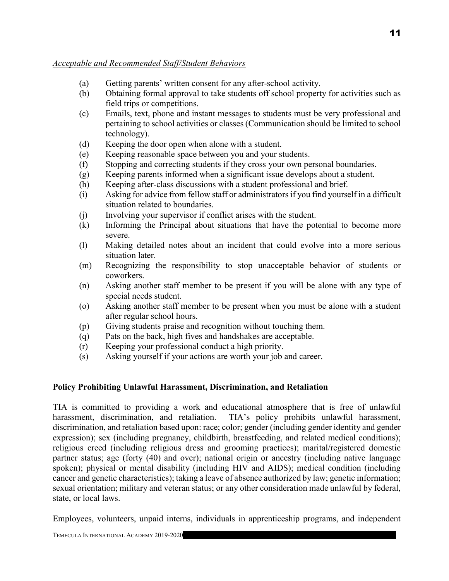#### Acceptable and Recommended Staff/Student Behaviors

- (a) Getting parents' written consent for any after-school activity.
- (b) Obtaining formal approval to take students off school property for activities such as field trips or competitions.
- (c) Emails, text, phone and instant messages to students must be very professional and pertaining to school activities or classes (Communication should be limited to school technology).
- (d) Keeping the door open when alone with a student.
- (e) Keeping reasonable space between you and your students.
- (f) Stopping and correcting students if they cross your own personal boundaries.
- (g) Keeping parents informed when a significant issue develops about a student.
- (h) Keeping after-class discussions with a student professional and brief.
- (i) Asking for advice from fellow staff or administrators if you find yourself in a difficult situation related to boundaries.
- (j) Involving your supervisor if conflict arises with the student.
- (k) Informing the Principal about situations that have the potential to become more severe.
- (l) Making detailed notes about an incident that could evolve into a more serious situation later.
- (m) Recognizing the responsibility to stop unacceptable behavior of students or coworkers.
- (n) Asking another staff member to be present if you will be alone with any type of special needs student.
- (o) Asking another staff member to be present when you must be alone with a student after regular school hours.
- (p) Giving students praise and recognition without touching them.
- (q) Pats on the back, high fives and handshakes are acceptable.
- (r) Keeping your professional conduct a high priority.
- (s) Asking yourself if your actions are worth your job and career.

#### Policy Prohibiting Unlawful Harassment, Discrimination, and Retaliation

TIA is committed to providing a work and educational atmosphere that is free of unlawful harassment, discrimination, and retaliation. TIA's policy prohibits unlawful harassment, discrimination, and retaliation based upon: race; color; gender (including gender identity and gender expression); sex (including pregnancy, childbirth, breastfeeding, and related medical conditions); religious creed (including religious dress and grooming practices); marital/registered domestic partner status; age (forty (40) and over); national origin or ancestry (including native language spoken); physical or mental disability (including HIV and AIDS); medical condition (including cancer and genetic characteristics); taking a leave of absence authorized by law; genetic information; sexual orientation; military and veteran status; or any other consideration made unlawful by federal, state, or local laws.

Employees, volunteers, unpaid interns, individuals in apprenticeship programs, and independent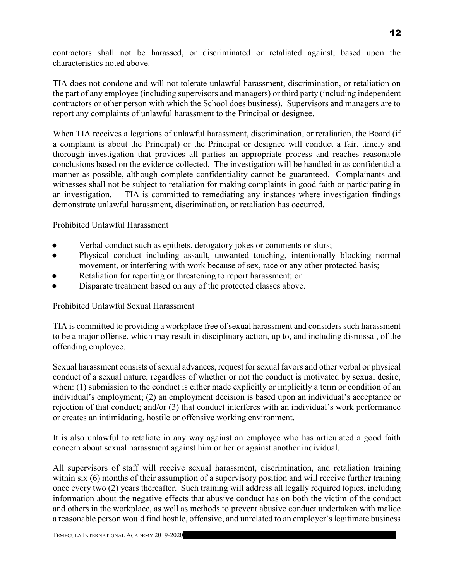contractors shall not be harassed, or discriminated or retaliated against, based upon the characteristics noted above.

TIA does not condone and will not tolerate unlawful harassment, discrimination, or retaliation on the part of any employee (including supervisors and managers) or third party (including independent contractors or other person with which the School does business). Supervisors and managers are to report any complaints of unlawful harassment to the Principal or designee.

When TIA receives allegations of unlawful harassment, discrimination, or retaliation, the Board (if a complaint is about the Principal) or the Principal or designee will conduct a fair, timely and thorough investigation that provides all parties an appropriate process and reaches reasonable conclusions based on the evidence collected. The investigation will be handled in as confidential a manner as possible, although complete confidentiality cannot be guaranteed. Complainants and witnesses shall not be subject to retaliation for making complaints in good faith or participating in an investigation. TIA is committed to remediating any instances where investigation findings demonstrate unlawful harassment, discrimination, or retaliation has occurred.

#### Prohibited Unlawful Harassment

- Verbal conduct such as epithets, derogatory jokes or comments or slurs;
- Physical conduct including assault, unwanted touching, intentionally blocking normal movement, or interfering with work because of sex, race or any other protected basis;
- Retaliation for reporting or threatening to report harassment; or
- Disparate treatment based on any of the protected classes above.

#### Prohibited Unlawful Sexual Harassment

TIA is committed to providing a workplace free of sexual harassment and considers such harassment to be a major offense, which may result in disciplinary action, up to, and including dismissal, of the offending employee.

Sexual harassment consists of sexual advances, request for sexual favors and other verbal or physical conduct of a sexual nature, regardless of whether or not the conduct is motivated by sexual desire, when: (1) submission to the conduct is either made explicitly or implicitly a term or condition of an individual's employment; (2) an employment decision is based upon an individual's acceptance or rejection of that conduct; and/or (3) that conduct interferes with an individual's work performance or creates an intimidating, hostile or offensive working environment.

It is also unlawful to retaliate in any way against an employee who has articulated a good faith concern about sexual harassment against him or her or against another individual.

All supervisors of staff will receive sexual harassment, discrimination, and retaliation training within six (6) months of their assumption of a supervisory position and will receive further training once every two (2) years thereafter. Such training will address all legally required topics, including information about the negative effects that abusive conduct has on both the victim of the conduct and others in the workplace, as well as methods to prevent abusive conduct undertaken with malice a reasonable person would find hostile, offensive, and unrelated to an employer's legitimate business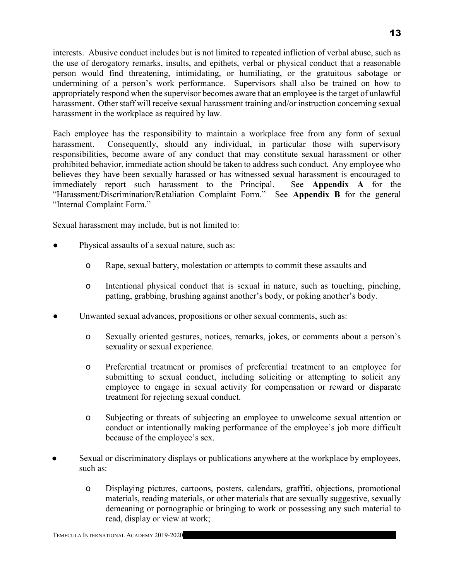interests. Abusive conduct includes but is not limited to repeated infliction of verbal abuse, such as the use of derogatory remarks, insults, and epithets, verbal or physical conduct that a reasonable person would find threatening, intimidating, or humiliating, or the gratuitous sabotage or undermining of a person's work performance. Supervisors shall also be trained on how to appropriately respond when the supervisor becomes aware that an employee is the target of unlawful harassment. Other staff will receive sexual harassment training and/or instruction concerning sexual harassment in the workplace as required by law.

Each employee has the responsibility to maintain a workplace free from any form of sexual harassment. Consequently, should any individual, in particular those with supervisory responsibilities, become aware of any conduct that may constitute sexual harassment or other prohibited behavior, immediate action should be taken to address such conduct. Any employee who believes they have been sexually harassed or has witnessed sexual harassment is encouraged to immediately report such harassment to the Principal. See Appendix A for the "Harassment/Discrimination/Retaliation Complaint Form." See Appendix B for the general "Internal Complaint Form."

Sexual harassment may include, but is not limited to:

- Physical assaults of a sexual nature, such as:
	- o Rape, sexual battery, molestation or attempts to commit these assaults and
	- o Intentional physical conduct that is sexual in nature, such as touching, pinching, patting, grabbing, brushing against another's body, or poking another's body.
- Unwanted sexual advances, propositions or other sexual comments, such as:
	- o Sexually oriented gestures, notices, remarks, jokes, or comments about a person's sexuality or sexual experience.
	- o Preferential treatment or promises of preferential treatment to an employee for submitting to sexual conduct, including soliciting or attempting to solicit any employee to engage in sexual activity for compensation or reward or disparate treatment for rejecting sexual conduct.
	- o Subjecting or threats of subjecting an employee to unwelcome sexual attention or conduct or intentionally making performance of the employee's job more difficult because of the employee's sex.
- Sexual or discriminatory displays or publications anywhere at the workplace by employees, such as:
	- o Displaying pictures, cartoons, posters, calendars, graffiti, objections, promotional materials, reading materials, or other materials that are sexually suggestive, sexually demeaning or pornographic or bringing to work or possessing any such material to read, display or view at work;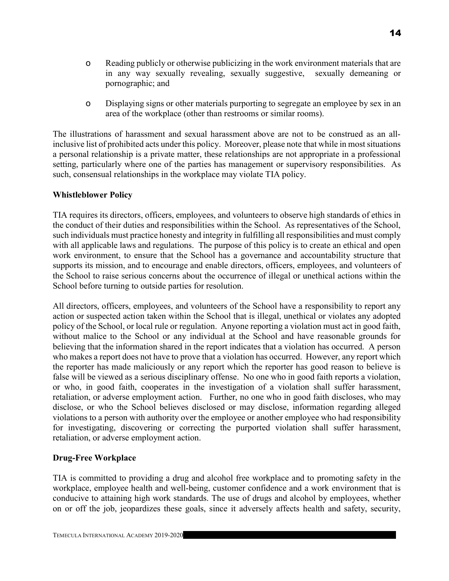o Displaying signs or other materials purporting to segregate an employee by sex in an area of the workplace (other than restrooms or similar rooms).

The illustrations of harassment and sexual harassment above are not to be construed as an allinclusive list of prohibited acts under this policy. Moreover, please note that while in most situations a personal relationship is a private matter, these relationships are not appropriate in a professional setting, particularly where one of the parties has management or supervisory responsibilities. As such, consensual relationships in the workplace may violate TIA policy.

#### Whistleblower Policy

TIA requires its directors, officers, employees, and volunteers to observe high standards of ethics in the conduct of their duties and responsibilities within the School. As representatives of the School, such individuals must practice honesty and integrity in fulfilling all responsibilities and must comply with all applicable laws and regulations. The purpose of this policy is to create an ethical and open work environment, to ensure that the School has a governance and accountability structure that supports its mission, and to encourage and enable directors, officers, employees, and volunteers of the School to raise serious concerns about the occurrence of illegal or unethical actions within the School before turning to outside parties for resolution.

All directors, officers, employees, and volunteers of the School have a responsibility to report any action or suspected action taken within the School that is illegal, unethical or violates any adopted policy of the School, or local rule or regulation. Anyone reporting a violation must act in good faith, without malice to the School or any individual at the School and have reasonable grounds for believing that the information shared in the report indicates that a violation has occurred. A person who makes a report does not have to prove that a violation has occurred. However, any report which the reporter has made maliciously or any report which the reporter has good reason to believe is false will be viewed as a serious disciplinary offense. No one who in good faith reports a violation, or who, in good faith, cooperates in the investigation of a violation shall suffer harassment, retaliation, or adverse employment action. Further, no one who in good faith discloses, who may disclose, or who the School believes disclosed or may disclose, information regarding alleged violations to a person with authority over the employee or another employee who had responsibility for investigating, discovering or correcting the purported violation shall suffer harassment, retaliation, or adverse employment action.

#### Drug-Free Workplace

TIA is committed to providing a drug and alcohol free workplace and to promoting safety in the workplace, employee health and well-being, customer confidence and a work environment that is conducive to attaining high work standards. The use of drugs and alcohol by employees, whether on or off the job, jeopardizes these goals, since it adversely affects health and safety, security,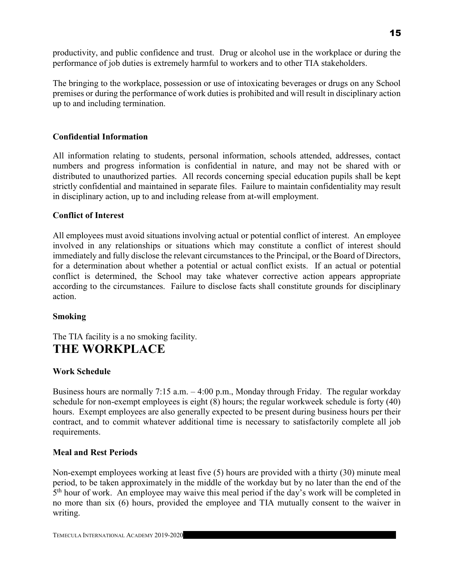productivity, and public confidence and trust. Drug or alcohol use in the workplace or during the performance of job duties is extremely harmful to workers and to other TIA stakeholders.

The bringing to the workplace, possession or use of intoxicating beverages or drugs on any School premises or during the performance of work duties is prohibited and will result in disciplinary action up to and including termination.

# Confidential Information

All information relating to students, personal information, schools attended, addresses, contact numbers and progress information is confidential in nature, and may not be shared with or distributed to unauthorized parties. All records concerning special education pupils shall be kept strictly confidential and maintained in separate files. Failure to maintain confidentiality may result in disciplinary action, up to and including release from at-will employment.

#### Conflict of Interest

All employees must avoid situations involving actual or potential conflict of interest. An employee involved in any relationships or situations which may constitute a conflict of interest should immediately and fully disclose the relevant circumstances to the Principal, or the Board of Directors, for a determination about whether a potential or actual conflict exists. If an actual or potential conflict is determined, the School may take whatever corrective action appears appropriate according to the circumstances. Failure to disclose facts shall constitute grounds for disciplinary action.

#### Smoking

The TIA facility is a no smoking facility. THE WORKPLACE

#### Work Schedule

Business hours are normally 7:15 a.m. – 4:00 p.m., Monday through Friday. The regular workday schedule for non-exempt employees is eight (8) hours; the regular workweek schedule is forty (40) hours. Exempt employees are also generally expected to be present during business hours per their contract, and to commit whatever additional time is necessary to satisfactorily complete all job requirements.

#### Meal and Rest Periods

Non-exempt employees working at least five (5) hours are provided with a thirty (30) minute meal period, to be taken approximately in the middle of the workday but by no later than the end of the 5<sup>th</sup> hour of work. An employee may waive this meal period if the day's work will be completed in no more than six (6) hours, provided the employee and TIA mutually consent to the waiver in writing.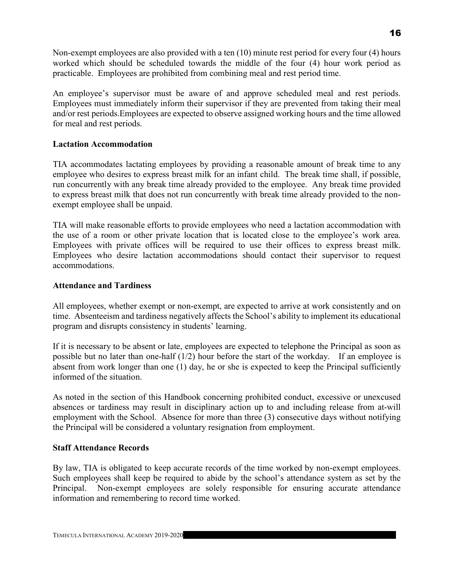Non-exempt employees are also provided with a ten (10) minute rest period for every four (4) hours worked which should be scheduled towards the middle of the four (4) hour work period as practicable. Employees are prohibited from combining meal and rest period time.

An employee's supervisor must be aware of and approve scheduled meal and rest periods. Employees must immediately inform their supervisor if they are prevented from taking their meal and/or rest periods.Employees are expected to observe assigned working hours and the time allowed for meal and rest periods.

#### Lactation Accommodation

TIA accommodates lactating employees by providing a reasonable amount of break time to any employee who desires to express breast milk for an infant child. The break time shall, if possible, run concurrently with any break time already provided to the employee. Any break time provided to express breast milk that does not run concurrently with break time already provided to the nonexempt employee shall be unpaid.

TIA will make reasonable efforts to provide employees who need a lactation accommodation with the use of a room or other private location that is located close to the employee's work area. Employees with private offices will be required to use their offices to express breast milk. Employees who desire lactation accommodations should contact their supervisor to request accommodations.

#### Attendance and Tardiness

All employees, whether exempt or non-exempt, are expected to arrive at work consistently and on time. Absenteeism and tardiness negatively affects the School's ability to implement its educational program and disrupts consistency in students' learning.

If it is necessary to be absent or late, employees are expected to telephone the Principal as soon as possible but no later than one-half (1/2) hour before the start of the workday. If an employee is absent from work longer than one (1) day, he or she is expected to keep the Principal sufficiently informed of the situation.

As noted in the section of this Handbook concerning prohibited conduct, excessive or unexcused absences or tardiness may result in disciplinary action up to and including release from at-will employment with the School. Absence for more than three (3) consecutive days without notifying the Principal will be considered a voluntary resignation from employment.

#### Staff Attendance Records

By law, TIA is obligated to keep accurate records of the time worked by non-exempt employees. Such employees shall keep be required to abide by the school's attendance system as set by the Principal. Non-exempt employees are solely responsible for ensuring accurate attendance information and remembering to record time worked.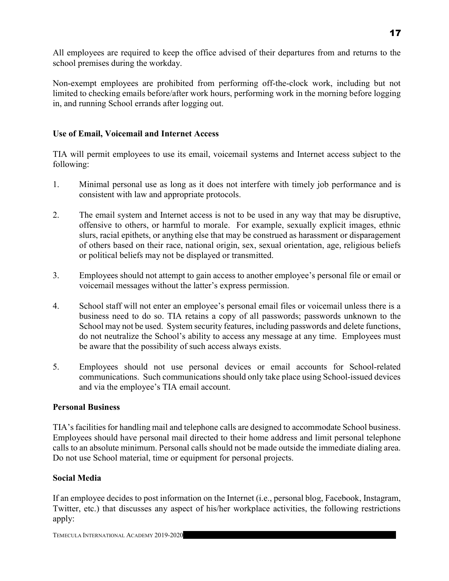All employees are required to keep the office advised of their departures from and returns to the school premises during the workday.

Non-exempt employees are prohibited from performing off-the-clock work, including but not limited to checking emails before/after work hours, performing work in the morning before logging in, and running School errands after logging out.

## Use of Email, Voicemail and Internet Access

TIA will permit employees to use its email, voicemail systems and Internet access subject to the following:

- 1. Minimal personal use as long as it does not interfere with timely job performance and is consistent with law and appropriate protocols.
- 2. The email system and Internet access is not to be used in any way that may be disruptive, offensive to others, or harmful to morale. For example, sexually explicit images, ethnic slurs, racial epithets, or anything else that may be construed as harassment or disparagement of others based on their race, national origin, sex, sexual orientation, age, religious beliefs or political beliefs may not be displayed or transmitted.
- 3. Employees should not attempt to gain access to another employee's personal file or email or voicemail messages without the latter's express permission.
- 4. School staff will not enter an employee's personal email files or voicemail unless there is a business need to do so. TIA retains a copy of all passwords; passwords unknown to the School may not be used. System security features, including passwords and delete functions, do not neutralize the School's ability to access any message at any time. Employees must be aware that the possibility of such access always exists.
- 5. Employees should not use personal devices or email accounts for School-related communications. Such communications should only take place using School-issued devices and via the employee's TIA email account.

#### Personal Business

TIA's facilities for handling mail and telephone calls are designed to accommodate School business. Employees should have personal mail directed to their home address and limit personal telephone calls to an absolute minimum. Personal calls should not be made outside the immediate dialing area. Do not use School material, time or equipment for personal projects.

# Social Media

If an employee decides to post information on the Internet (i.e., personal blog, Facebook, Instagram, Twitter, etc.) that discusses any aspect of his/her workplace activities, the following restrictions apply: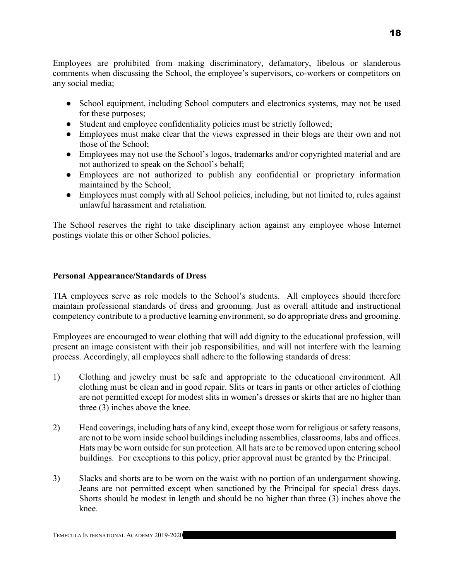Employees are prohibited from making discriminatory, defamatory, libelous or slanderous comments when discussing the School, the employee's supervisors, co-workers or competitors on any social media;

- School equipment, including School computers and electronics systems, may not be used for these purposes;
- Student and employee confidentiality policies must be strictly followed;
- Employees must make clear that the views expressed in their blogs are their own and not those of the School;
- Employees may not use the School's logos, trademarks and/or copyrighted material and are not authorized to speak on the School's behalf;
- Employees are not authorized to publish any confidential or proprietary information maintained by the School;
- Employees must comply with all School policies, including, but not limited to, rules against unlawful harassment and retaliation.

The School reserves the right to take disciplinary action against any employee whose Internet postings violate this or other School policies.

#### Personal Appearance/Standards of Dress

TIA employees serve as role models to the School's students. All employees should therefore maintain professional standards of dress and grooming. Just as overall attitude and instructional competency contribute to a productive learning environment, so do appropriate dress and grooming.

Employees are encouraged to wear clothing that will add dignity to the educational profession, will present an image consistent with their job responsibilities, and will not interfere with the learning process. Accordingly, all employees shall adhere to the following standards of dress:

- 1) Clothing and jewelry must be safe and appropriate to the educational environment. All clothing must be clean and in good repair. Slits or tears in pants or other articles of clothing are not permitted except for modest slits in women's dresses or skirts that are no higher than three (3) inches above the knee.
- 2) Head coverings, including hats of any kind, except those worn for religious or safety reasons, are not to be worn inside school buildings including assemblies, classrooms, labs and offices. Hats may be worn outside for sun protection. All hats are to be removed upon entering school buildings. For exceptions to this policy, prior approval must be granted by the Principal.
- 3) Slacks and shorts are to be worn on the waist with no portion of an undergarment showing. Jeans are not permitted except when sanctioned by the Principal for special dress days. Shorts should be modest in length and should be no higher than three (3) inches above the knee.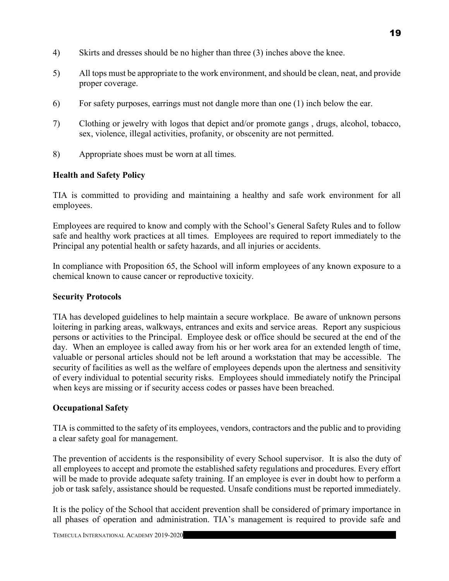- 4) Skirts and dresses should be no higher than three (3) inches above the knee.
- 5) All tops must be appropriate to the work environment, and should be clean, neat, and provide proper coverage.
- 6) For safety purposes, earrings must not dangle more than one (1) inch below the ear.
- 7) Clothing or jewelry with logos that depict and/or promote gangs , drugs, alcohol, tobacco, sex, violence, illegal activities, profanity, or obscenity are not permitted.
- 8) Appropriate shoes must be worn at all times.

# Health and Safety Policy

TIA is committed to providing and maintaining a healthy and safe work environment for all employees.

Employees are required to know and comply with the School's General Safety Rules and to follow safe and healthy work practices at all times. Employees are required to report immediately to the Principal any potential health or safety hazards, and all injuries or accidents.

In compliance with Proposition 65, the School will inform employees of any known exposure to a chemical known to cause cancer or reproductive toxicity.

#### Security Protocols

TIA has developed guidelines to help maintain a secure workplace. Be aware of unknown persons loitering in parking areas, walkways, entrances and exits and service areas. Report any suspicious persons or activities to the Principal. Employee desk or office should be secured at the end of the day. When an employee is called away from his or her work area for an extended length of time, valuable or personal articles should not be left around a workstation that may be accessible. The security of facilities as well as the welfare of employees depends upon the alertness and sensitivity of every individual to potential security risks. Employees should immediately notify the Principal when keys are missing or if security access codes or passes have been breached.

# Occupational Safety

TIA is committed to the safety of its employees, vendors, contractors and the public and to providing a clear safety goal for management.

The prevention of accidents is the responsibility of every School supervisor. It is also the duty of all employees to accept and promote the established safety regulations and procedures. Every effort will be made to provide adequate safety training. If an employee is ever in doubt how to perform a job or task safely, assistance should be requested. Unsafe conditions must be reported immediately.

It is the policy of the School that accident prevention shall be considered of primary importance in all phases of operation and administration. TIA's management is required to provide safe and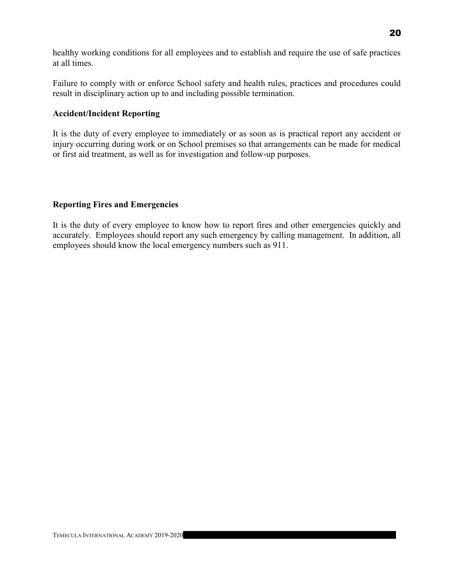healthy working conditions for all employees and to establish and require the use of safe practices at all times.

Failure to comply with or enforce School safety and health rules, practices and procedures could result in disciplinary action up to and including possible termination.

#### Accident/Incident Reporting

It is the duty of every employee to immediately or as soon as is practical report any accident or injury occurring during work or on School premises so that arrangements can be made for medical or first aid treatment, as well as for investigation and follow-up purposes.

#### Reporting Fires and Emergencies

It is the duty of every employee to know how to report fires and other emergencies quickly and accurately. Employees should report any such emergency by calling management. In addition, all employees should know the local emergency numbers such as 911.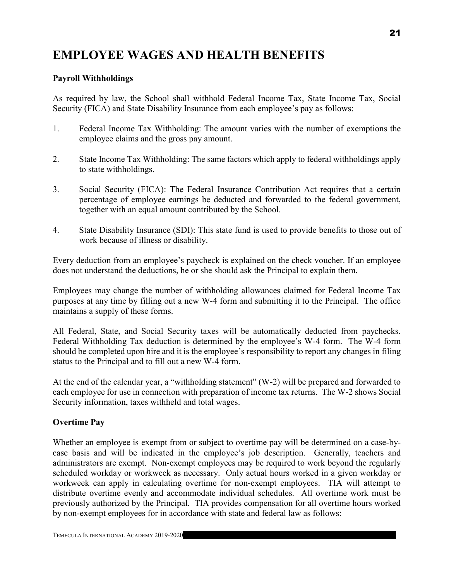# EMPLOYEE WAGES AND HEALTH BENEFITS

#### Payroll Withholdings

As required by law, the School shall withhold Federal Income Tax, State Income Tax, Social Security (FICA) and State Disability Insurance from each employee's pay as follows:

- 1. Federal Income Tax Withholding: The amount varies with the number of exemptions the employee claims and the gross pay amount.
- 2. State Income Tax Withholding: The same factors which apply to federal withholdings apply to state withholdings.
- 3. Social Security (FICA): The Federal Insurance Contribution Act requires that a certain percentage of employee earnings be deducted and forwarded to the federal government, together with an equal amount contributed by the School.
- 4. State Disability Insurance (SDI): This state fund is used to provide benefits to those out of work because of illness or disability.

Every deduction from an employee's paycheck is explained on the check voucher. If an employee does not understand the deductions, he or she should ask the Principal to explain them.

Employees may change the number of withholding allowances claimed for Federal Income Tax purposes at any time by filling out a new W-4 form and submitting it to the Principal. The office maintains a supply of these forms.

All Federal, State, and Social Security taxes will be automatically deducted from paychecks. Federal Withholding Tax deduction is determined by the employee's W-4 form. The W-4 form should be completed upon hire and it is the employee's responsibility to report any changes in filing status to the Principal and to fill out a new W-4 form.

At the end of the calendar year, a "withholding statement" (W-2) will be prepared and forwarded to each employee for use in connection with preparation of income tax returns. The W-2 shows Social Security information, taxes withheld and total wages.

#### Overtime Pay

Whether an employee is exempt from or subject to overtime pay will be determined on a case-bycase basis and will be indicated in the employee's job description. Generally, teachers and administrators are exempt. Non-exempt employees may be required to work beyond the regularly scheduled workday or workweek as necessary. Only actual hours worked in a given workday or workweek can apply in calculating overtime for non-exempt employees. TIA will attempt to distribute overtime evenly and accommodate individual schedules. All overtime work must be previously authorized by the Principal. TIA provides compensation for all overtime hours worked by non-exempt employees for in accordance with state and federal law as follows: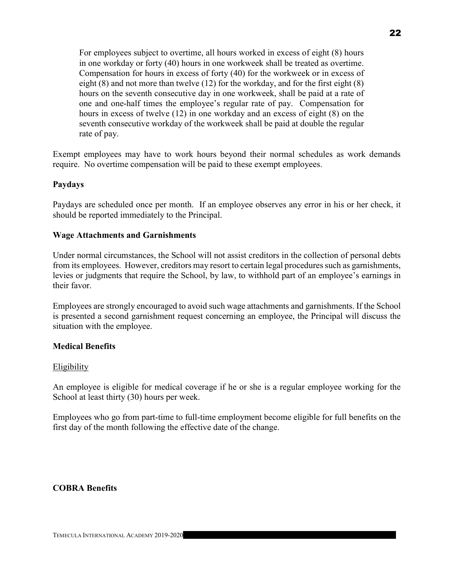For employees subject to overtime, all hours worked in excess of eight (8) hours in one workday or forty (40) hours in one workweek shall be treated as overtime. Compensation for hours in excess of forty (40) for the workweek or in excess of eight (8) and not more than twelve (12) for the workday, and for the first eight (8) hours on the seventh consecutive day in one workweek, shall be paid at a rate of one and one-half times the employee's regular rate of pay. Compensation for hours in excess of twelve (12) in one workday and an excess of eight (8) on the seventh consecutive workday of the workweek shall be paid at double the regular rate of pay.

Exempt employees may have to work hours beyond their normal schedules as work demands require. No overtime compensation will be paid to these exempt employees.

#### Paydays

Paydays are scheduled once per month. If an employee observes any error in his or her check, it should be reported immediately to the Principal.

#### Wage Attachments and Garnishments

Under normal circumstances, the School will not assist creditors in the collection of personal debts from its employees. However, creditors may resort to certain legal procedures such as garnishments, levies or judgments that require the School, by law, to withhold part of an employee's earnings in their favor.

Employees are strongly encouraged to avoid such wage attachments and garnishments. If the School is presented a second garnishment request concerning an employee, the Principal will discuss the situation with the employee.

#### Medical Benefits

#### **Eligibility**

An employee is eligible for medical coverage if he or she is a regular employee working for the School at least thirty (30) hours per week.

Employees who go from part-time to full-time employment become eligible for full benefits on the first day of the month following the effective date of the change.

#### COBRA Benefits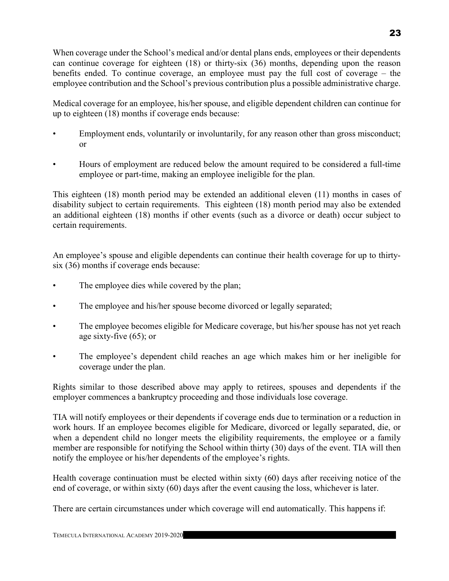When coverage under the School's medical and/or dental plans ends, employees or their dependents can continue coverage for eighteen (18) or thirty-six (36) months, depending upon the reason benefits ended. To continue coverage, an employee must pay the full cost of coverage – the employee contribution and the School's previous contribution plus a possible administrative charge.

Medical coverage for an employee, his/her spouse, and eligible dependent children can continue for up to eighteen (18) months if coverage ends because:

- Employment ends, voluntarily or involuntarily, for any reason other than gross misconduct; or
- Hours of employment are reduced below the amount required to be considered a full-time employee or part-time, making an employee ineligible for the plan.

This eighteen (18) month period may be extended an additional eleven (11) months in cases of disability subject to certain requirements. This eighteen (18) month period may also be extended an additional eighteen (18) months if other events (such as a divorce or death) occur subject to certain requirements.

An employee's spouse and eligible dependents can continue their health coverage for up to thirtysix (36) months if coverage ends because:

- The employee dies while covered by the plan;
- The employee and his/her spouse become divorced or legally separated;
- The employee becomes eligible for Medicare coverage, but his/her spouse has not yet reach age sixty-five (65); or
- The employee's dependent child reaches an age which makes him or her ineligible for coverage under the plan.

Rights similar to those described above may apply to retirees, spouses and dependents if the employer commences a bankruptcy proceeding and those individuals lose coverage.

TIA will notify employees or their dependents if coverage ends due to termination or a reduction in work hours. If an employee becomes eligible for Medicare, divorced or legally separated, die, or when a dependent child no longer meets the eligibility requirements, the employee or a family member are responsible for notifying the School within thirty (30) days of the event. TIA will then notify the employee or his/her dependents of the employee's rights.

Health coverage continuation must be elected within sixty (60) days after receiving notice of the end of coverage, or within sixty (60) days after the event causing the loss, whichever is later.

There are certain circumstances under which coverage will end automatically. This happens if: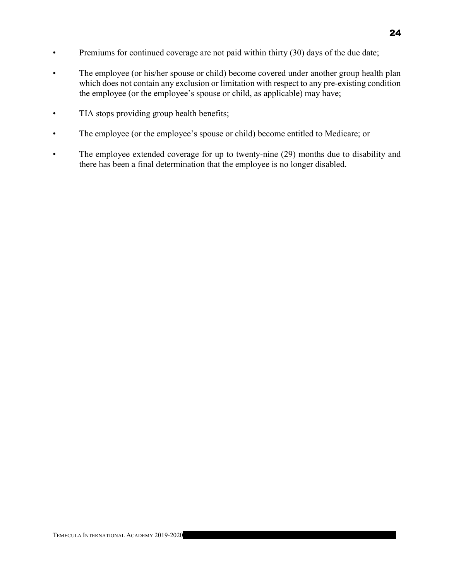- Premiums for continued coverage are not paid within thirty (30) days of the due date;
- The employee (or his/her spouse or child) become covered under another group health plan which does not contain any exclusion or limitation with respect to any pre-existing condition the employee (or the employee's spouse or child, as applicable) may have;
- TIA stops providing group health benefits;
- The employee (or the employee's spouse or child) become entitled to Medicare; or
- The employee extended coverage for up to twenty-nine (29) months due to disability and there has been a final determination that the employee is no longer disabled.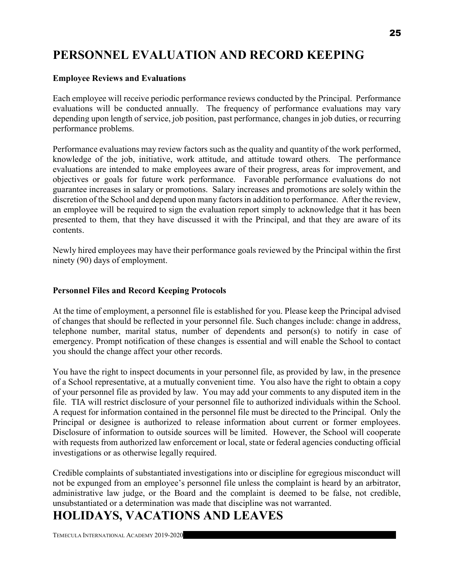# PERSONNEL EVALUATION AND RECORD KEEPING

#### Employee Reviews and Evaluations

Each employee will receive periodic performance reviews conducted by the Principal. Performance evaluations will be conducted annually. The frequency of performance evaluations may vary depending upon length of service, job position, past performance, changes in job duties, or recurring performance problems.

Performance evaluations may review factors such as the quality and quantity of the work performed, knowledge of the job, initiative, work attitude, and attitude toward others. The performance evaluations are intended to make employees aware of their progress, areas for improvement, and objectives or goals for future work performance. Favorable performance evaluations do not guarantee increases in salary or promotions. Salary increases and promotions are solely within the discretion of the School and depend upon many factors in addition to performance. After the review, an employee will be required to sign the evaluation report simply to acknowledge that it has been presented to them, that they have discussed it with the Principal, and that they are aware of its contents.

Newly hired employees may have their performance goals reviewed by the Principal within the first ninety (90) days of employment.

## Personnel Files and Record Keeping Protocols

At the time of employment, a personnel file is established for you. Please keep the Principal advised of changes that should be reflected in your personnel file. Such changes include: change in address, telephone number, marital status, number of dependents and person(s) to notify in case of emergency. Prompt notification of these changes is essential and will enable the School to contact you should the change affect your other records.

You have the right to inspect documents in your personnel file, as provided by law, in the presence of a School representative, at a mutually convenient time. You also have the right to obtain a copy of your personnel file as provided by law. You may add your comments to any disputed item in the file. TIA will restrict disclosure of your personnel file to authorized individuals within the School. A request for information contained in the personnel file must be directed to the Principal. Only the Principal or designee is authorized to release information about current or former employees. Disclosure of information to outside sources will be limited. However, the School will cooperate with requests from authorized law enforcement or local, state or federal agencies conducting official investigations or as otherwise legally required.

Credible complaints of substantiated investigations into or discipline for egregious misconduct will not be expunged from an employee's personnel file unless the complaint is heard by an arbitrator, administrative law judge, or the Board and the complaint is deemed to be false, not credible, unsubstantiated or a determination was made that discipline was not warranted.

# HOLIDAYS, VACATIONS AND LEAVES

TEMECULA INTERNATIONAL ACADEMY 2019-2020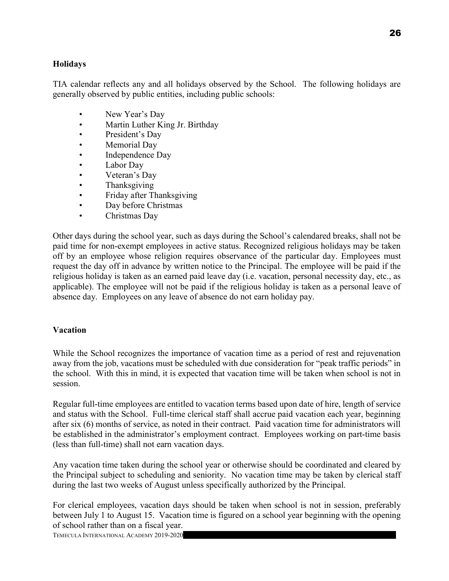#### Holidays

TIA calendar reflects any and all holidays observed by the School. The following holidays are generally observed by public entities, including public schools:

- New Year's Day
- Martin Luther King Jr. Birthday
- President's Day
- Memorial Day
- Independence Day
- Labor Day
- Veteran's Day
- Thanksgiving
- Friday after Thanksgiving
- Day before Christmas
- Christmas Day

Other days during the school year, such as days during the School's calendared breaks, shall not be paid time for non-exempt employees in active status. Recognized religious holidays may be taken off by an employee whose religion requires observance of the particular day. Employees must request the day off in advance by written notice to the Principal. The employee will be paid if the religious holiday is taken as an earned paid leave day (i.e. vacation, personal necessity day, etc., as applicable). The employee will not be paid if the religious holiday is taken as a personal leave of absence day. Employees on any leave of absence do not earn holiday pay.

#### Vacation

While the School recognizes the importance of vacation time as a period of rest and rejuvenation away from the job, vacations must be scheduled with due consideration for "peak traffic periods" in the school. With this in mind, it is expected that vacation time will be taken when school is not in session.

Regular full-time employees are entitled to vacation terms based upon date of hire, length of service and status with the School. Full-time clerical staff shall accrue paid vacation each year, beginning after six (6) months of service, as noted in their contract. Paid vacation time for administrators will be established in the administrator's employment contract. Employees working on part-time basis (less than full-time) shall not earn vacation days.

Any vacation time taken during the school year or otherwise should be coordinated and cleared by the Principal subject to scheduling and seniority. No vacation time may be taken by clerical staff during the last two weeks of August unless specifically authorized by the Principal.

For clerical employees, vacation days should be taken when school is not in session, preferably between July 1 to August 15. Vacation time is figured on a school year beginning with the opening of school rather than on a fiscal year.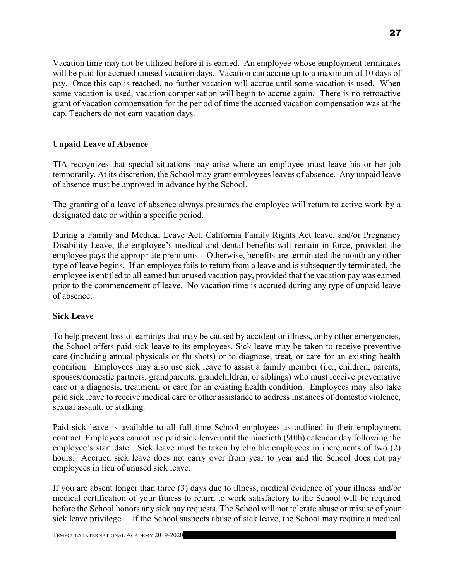Vacation time may not be utilized before it is earned. An employee whose employment terminates will be paid for accrued unused vacation days. Vacation can accrue up to a maximum of 10 days of pay. Once this cap is reached, no further vacation will accrue until some vacation is used. When some vacation is used, vacation compensation will begin to accrue again. There is no retroactive grant of vacation compensation for the period of time the accrued vacation compensation was at the cap. Teachers do not earn vacation days.

## Unpaid Leave of Absence

TIA recognizes that special situations may arise where an employee must leave his or her job temporarily. At its discretion, the School may grant employees leaves of absence. Any unpaid leave of absence must be approved in advance by the School.

The granting of a leave of absence always presumes the employee will return to active work by a designated date or within a specific period.

During a Family and Medical Leave Act, California Family Rights Act leave, and/or Pregnancy Disability Leave, the employee's medical and dental benefits will remain in force, provided the employee pays the appropriate premiums. Otherwise, benefits are terminated the month any other type of leave begins. If an employee fails to return from a leave and is subsequently terminated, the employee is entitled to all earned but unused vacation pay, provided that the vacation pay was earned prior to the commencement of leave. No vacation time is accrued during any type of unpaid leave of absence.

#### Sick Leave

To help prevent loss of earnings that may be caused by accident or illness, or by other emergencies, the School offers paid sick leave to its employees. Sick leave may be taken to receive preventive care (including annual physicals or flu shots) or to diagnose, treat, or care for an existing health condition. Employees may also use sick leave to assist a family member (i.e., children, parents, spouses/domestic partners, grandparents, grandchildren, or siblings) who must receive preventative care or a diagnosis, treatment, or care for an existing health condition. Employees may also take paid sick leave to receive medical care or other assistance to address instances of domestic violence, sexual assault, or stalking.

Paid sick leave is available to all full time School employees as outlined in their employment contract. Employees cannot use paid sick leave until the ninetieth (90th) calendar day following the employee's start date. Sick leave must be taken by eligible employees in increments of two (2) hours. Accrued sick leave does not carry over from year to year and the School does not pay employees in lieu of unused sick leave.

If you are absent longer than three (3) days due to illness, medical evidence of your illness and/or medical certification of your fitness to return to work satisfactory to the School will be required before the School honors any sick pay requests. The School will not tolerate abuse or misuse of your sick leave privilege. If the School suspects abuse of sick leave, the School may require a medical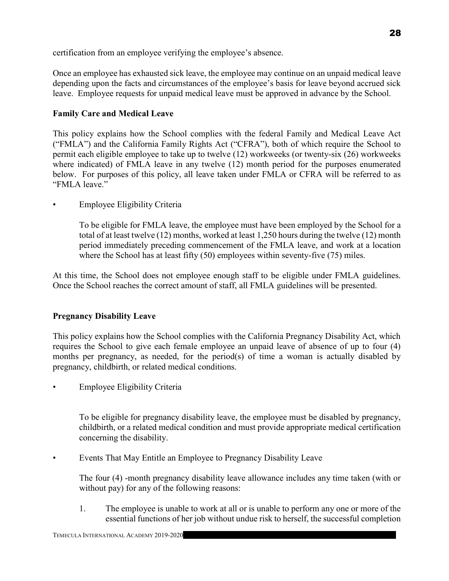certification from an employee verifying the employee's absence.

Once an employee has exhausted sick leave, the employee may continue on an unpaid medical leave depending upon the facts and circumstances of the employee's basis for leave beyond accrued sick leave. Employee requests for unpaid medical leave must be approved in advance by the School.

# Family Care and Medical Leave

This policy explains how the School complies with the federal Family and Medical Leave Act ("FMLA") and the California Family Rights Act ("CFRA"), both of which require the School to permit each eligible employee to take up to twelve (12) workweeks (or twenty-six (26) workweeks where indicated) of FMLA leave in any twelve (12) month period for the purposes enumerated below. For purposes of this policy, all leave taken under FMLA or CFRA will be referred to as "FMLA leave."

• Employee Eligibility Criteria

To be eligible for FMLA leave, the employee must have been employed by the School for a total of at least twelve (12) months, worked at least 1,250 hours during the twelve (12) month period immediately preceding commencement of the FMLA leave, and work at a location where the School has at least fifty (50) employees within seventy-five (75) miles.

At this time, the School does not employee enough staff to be eligible under FMLA guidelines. Once the School reaches the correct amount of staff, all FMLA guidelines will be presented.

# Pregnancy Disability Leave

This policy explains how the School complies with the California Pregnancy Disability Act, which requires the School to give each female employee an unpaid leave of absence of up to four (4) months per pregnancy, as needed, for the period(s) of time a woman is actually disabled by pregnancy, childbirth, or related medical conditions.

• Employee Eligibility Criteria

To be eligible for pregnancy disability leave, the employee must be disabled by pregnancy, childbirth, or a related medical condition and must provide appropriate medical certification concerning the disability.

• Events That May Entitle an Employee to Pregnancy Disability Leave

The four (4) -month pregnancy disability leave allowance includes any time taken (with or without pay) for any of the following reasons:

1. The employee is unable to work at all or is unable to perform any one or more of the essential functions of her job without undue risk to herself, the successful completion

28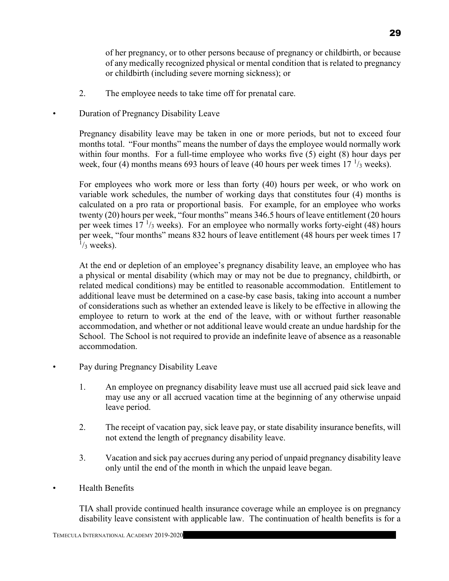of her pregnancy, or to other persons because of pregnancy or childbirth, or because of any medically recognized physical or mental condition that is related to pregnancy or childbirth (including severe morning sickness); or

2. The employee needs to take time off for prenatal care.

• Duration of Pregnancy Disability Leave

Pregnancy disability leave may be taken in one or more periods, but not to exceed four months total. "Four months" means the number of days the employee would normally work within four months. For a full-time employee who works five (5) eight (8) hour days per week, four (4) months means 693 hours of leave (40 hours per week times  $17<sup>1</sup>/3$  weeks).

For employees who work more or less than forty (40) hours per week, or who work on variable work schedules, the number of working days that constitutes four (4) months is calculated on a pro rata or proportional basis. For example, for an employee who works twenty (20) hours per week, "four months" means 346.5 hours of leave entitlement (20 hours per week times  $17<sup>1</sup>/3$  weeks). For an employee who normally works forty-eight (48) hours per week, "four months" means 832 hours of leave entitlement (48 hours per week times 17  $\frac{1}{3}$  weeks).

At the end or depletion of an employee's pregnancy disability leave, an employee who has a physical or mental disability (which may or may not be due to pregnancy, childbirth, or related medical conditions) may be entitled to reasonable accommodation. Entitlement to additional leave must be determined on a case-by case basis, taking into account a number of considerations such as whether an extended leave is likely to be effective in allowing the employee to return to work at the end of the leave, with or without further reasonable accommodation, and whether or not additional leave would create an undue hardship for the School. The School is not required to provide an indefinite leave of absence as a reasonable accommodation.

- Pay during Pregnancy Disability Leave
	- 1. An employee on pregnancy disability leave must use all accrued paid sick leave and may use any or all accrued vacation time at the beginning of any otherwise unpaid leave period.
	- 2. The receipt of vacation pay, sick leave pay, or state disability insurance benefits, will not extend the length of pregnancy disability leave.
	- 3. Vacation and sick pay accrues during any period of unpaid pregnancy disability leave only until the end of the month in which the unpaid leave began.
- Health Benefits

TIA shall provide continued health insurance coverage while an employee is on pregnancy disability leave consistent with applicable law. The continuation of health benefits is for a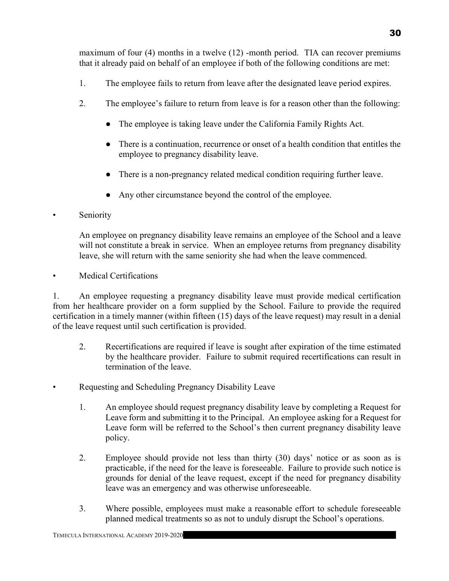maximum of four (4) months in a twelve (12) -month period. TIA can recover premiums that it already paid on behalf of an employee if both of the following conditions are met:

- 1. The employee fails to return from leave after the designated leave period expires.
- 2. The employee's failure to return from leave is for a reason other than the following:
	- The employee is taking leave under the California Family Rights Act.
	- There is a continuation, recurrence or onset of a health condition that entitles the employee to pregnancy disability leave.
	- There is a non-pregnancy related medical condition requiring further leave.
	- Any other circumstance beyond the control of the employee.
- Seniority

An employee on pregnancy disability leave remains an employee of the School and a leave will not constitute a break in service. When an employee returns from pregnancy disability leave, she will return with the same seniority she had when the leave commenced.

• Medical Certifications

1. An employee requesting a pregnancy disability leave must provide medical certification from her healthcare provider on a form supplied by the School. Failure to provide the required certification in a timely manner (within fifteen (15) days of the leave request) may result in a denial of the leave request until such certification is provided.

- 2. Recertifications are required if leave is sought after expiration of the time estimated by the healthcare provider. Failure to submit required recertifications can result in termination of the leave.
- Requesting and Scheduling Pregnancy Disability Leave
	- 1. An employee should request pregnancy disability leave by completing a Request for Leave form and submitting it to the Principal. An employee asking for a Request for Leave form will be referred to the School's then current pregnancy disability leave policy.
	- 2. Employee should provide not less than thirty (30) days' notice or as soon as is practicable, if the need for the leave is foreseeable. Failure to provide such notice is grounds for denial of the leave request, except if the need for pregnancy disability leave was an emergency and was otherwise unforeseeable.
	- 3. Where possible, employees must make a reasonable effort to schedule foreseeable planned medical treatments so as not to unduly disrupt the School's operations.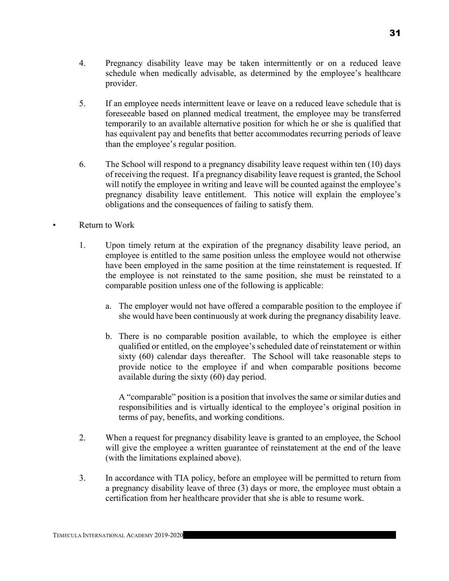- 4. Pregnancy disability leave may be taken intermittently or on a reduced leave schedule when medically advisable, as determined by the employee's healthcare provider.
- 5. If an employee needs intermittent leave or leave on a reduced leave schedule that is foreseeable based on planned medical treatment, the employee may be transferred temporarily to an available alternative position for which he or she is qualified that has equivalent pay and benefits that better accommodates recurring periods of leave than the employee's regular position.
- 6. The School will respond to a pregnancy disability leave request within ten (10) days of receiving the request. If a pregnancy disability leave request is granted, the School will notify the employee in writing and leave will be counted against the employee's pregnancy disability leave entitlement. This notice will explain the employee's obligations and the consequences of failing to satisfy them.

Return to Work

- 1. Upon timely return at the expiration of the pregnancy disability leave period, an employee is entitled to the same position unless the employee would not otherwise have been employed in the same position at the time reinstatement is requested. If the employee is not reinstated to the same position, she must be reinstated to a comparable position unless one of the following is applicable:
	- a. The employer would not have offered a comparable position to the employee if she would have been continuously at work during the pregnancy disability leave.
	- b. There is no comparable position available, to which the employee is either qualified or entitled, on the employee's scheduled date of reinstatement or within sixty (60) calendar days thereafter. The School will take reasonable steps to provide notice to the employee if and when comparable positions become available during the sixty (60) day period.

A "comparable" position is a position that involves the same or similar duties and responsibilities and is virtually identical to the employee's original position in terms of pay, benefits, and working conditions.

- 2. When a request for pregnancy disability leave is granted to an employee, the School will give the employee a written guarantee of reinstatement at the end of the leave (with the limitations explained above).
- 3. In accordance with TIA policy, before an employee will be permitted to return from a pregnancy disability leave of three (3) days or more, the employee must obtain a certification from her healthcare provider that she is able to resume work.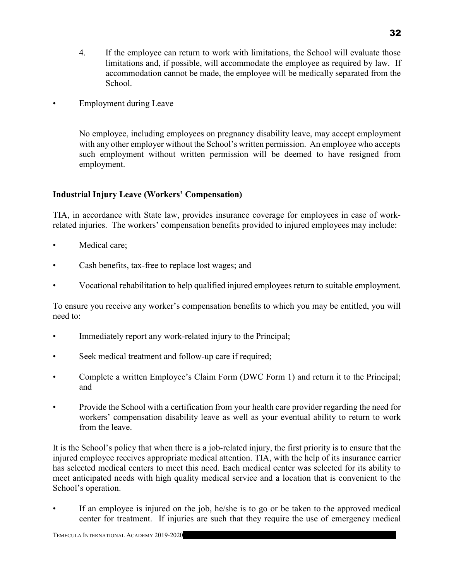- 4. If the employee can return to work with limitations, the School will evaluate those limitations and, if possible, will accommodate the employee as required by law. If accommodation cannot be made, the employee will be medically separated from the School.
- Employment during Leave

No employee, including employees on pregnancy disability leave, may accept employment with any other employer without the School's written permission. An employee who accepts such employment without written permission will be deemed to have resigned from employment.

## Industrial Injury Leave (Workers' Compensation)

TIA, in accordance with State law, provides insurance coverage for employees in case of workrelated injuries. The workers' compensation benefits provided to injured employees may include:

- Medical care;
- Cash benefits, tax-free to replace lost wages; and
- Vocational rehabilitation to help qualified injured employees return to suitable employment.

To ensure you receive any worker's compensation benefits to which you may be entitled, you will need to:

- Immediately report any work-related injury to the Principal;
- Seek medical treatment and follow-up care if required;
- Complete a written Employee's Claim Form (DWC Form 1) and return it to the Principal; and
- Provide the School with a certification from your health care provider regarding the need for workers' compensation disability leave as well as your eventual ability to return to work from the leave.

It is the School's policy that when there is a job-related injury, the first priority is to ensure that the injured employee receives appropriate medical attention. TIA, with the help of its insurance carrier has selected medical centers to meet this need. Each medical center was selected for its ability to meet anticipated needs with high quality medical service and a location that is convenient to the School's operation.

If an employee is injured on the job, he/she is to go or be taken to the approved medical center for treatment. If injuries are such that they require the use of emergency medical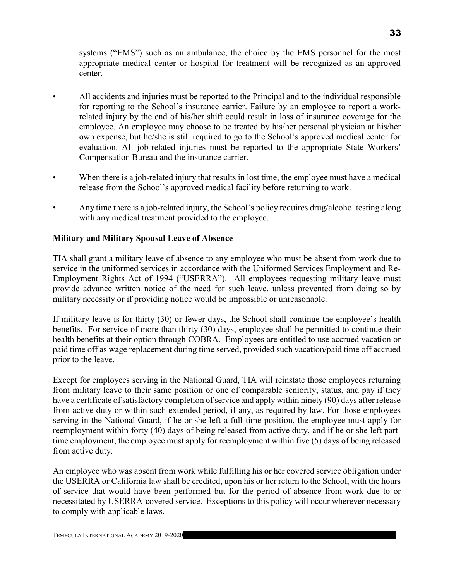systems ("EMS") such as an ambulance, the choice by the EMS personnel for the most appropriate medical center or hospital for treatment will be recognized as an approved center.

- All accidents and injuries must be reported to the Principal and to the individual responsible for reporting to the School's insurance carrier. Failure by an employee to report a workrelated injury by the end of his/her shift could result in loss of insurance coverage for the employee. An employee may choose to be treated by his/her personal physician at his/her own expense, but he/she is still required to go to the School's approved medical center for evaluation. All job-related injuries must be reported to the appropriate State Workers' Compensation Bureau and the insurance carrier.
- When there is a job-related injury that results in lost time, the employee must have a medical release from the School's approved medical facility before returning to work.
- Any time there is a job-related injury, the School's policy requires drug/alcohol testing along with any medical treatment provided to the employee.

## Military and Military Spousal Leave of Absence

TIA shall grant a military leave of absence to any employee who must be absent from work due to service in the uniformed services in accordance with the Uniformed Services Employment and Re-Employment Rights Act of 1994 ("USERRA"). All employees requesting military leave must provide advance written notice of the need for such leave, unless prevented from doing so by military necessity or if providing notice would be impossible or unreasonable.

If military leave is for thirty (30) or fewer days, the School shall continue the employee's health benefits. For service of more than thirty (30) days, employee shall be permitted to continue their health benefits at their option through COBRA. Employees are entitled to use accrued vacation or paid time off as wage replacement during time served, provided such vacation/paid time off accrued prior to the leave.

Except for employees serving in the National Guard, TIA will reinstate those employees returning from military leave to their same position or one of comparable seniority, status, and pay if they have a certificate of satisfactory completion of service and apply within ninety (90) days after release from active duty or within such extended period, if any, as required by law. For those employees serving in the National Guard, if he or she left a full-time position, the employee must apply for reemployment within forty (40) days of being released from active duty, and if he or she left parttime employment, the employee must apply for reemployment within five (5) days of being released from active duty.

An employee who was absent from work while fulfilling his or her covered service obligation under the USERRA or California law shall be credited, upon his or her return to the School, with the hours of service that would have been performed but for the period of absence from work due to or necessitated by USERRA-covered service. Exceptions to this policy will occur wherever necessary to comply with applicable laws.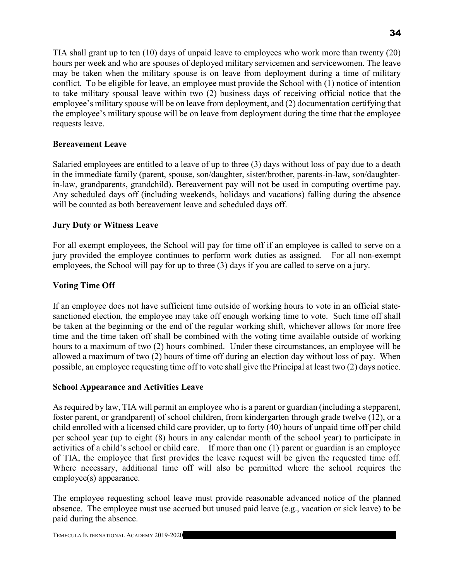TIA shall grant up to ten (10) days of unpaid leave to employees who work more than twenty (20) hours per week and who are spouses of deployed military servicemen and servicewomen. The leave may be taken when the military spouse is on leave from deployment during a time of military conflict. To be eligible for leave, an employee must provide the School with (1) notice of intention to take military spousal leave within two (2) business days of receiving official notice that the employee's military spouse will be on leave from deployment, and (2) documentation certifying that the employee's military spouse will be on leave from deployment during the time that the employee requests leave.

#### Bereavement Leave

Salaried employees are entitled to a leave of up to three (3) days without loss of pay due to a death in the immediate family (parent, spouse, son/daughter, sister/brother, parents-in-law, son/daughterin-law, grandparents, grandchild). Bereavement pay will not be used in computing overtime pay. Any scheduled days off (including weekends, holidays and vacations) falling during the absence will be counted as both bereavement leave and scheduled days off.

#### Jury Duty or Witness Leave

For all exempt employees, the School will pay for time off if an employee is called to serve on a jury provided the employee continues to perform work duties as assigned. For all non-exempt employees, the School will pay for up to three (3) days if you are called to serve on a jury.

#### Voting Time Off

If an employee does not have sufficient time outside of working hours to vote in an official statesanctioned election, the employee may take off enough working time to vote. Such time off shall be taken at the beginning or the end of the regular working shift, whichever allows for more free time and the time taken off shall be combined with the voting time available outside of working hours to a maximum of two (2) hours combined. Under these circumstances, an employee will be allowed a maximum of two (2) hours of time off during an election day without loss of pay. When possible, an employee requesting time off to vote shall give the Principal at least two (2) days notice.

#### School Appearance and Activities Leave

As required by law, TIA will permit an employee who is a parent or guardian (including a stepparent, foster parent, or grandparent) of school children, from kindergarten through grade twelve (12), or a child enrolled with a licensed child care provider, up to forty (40) hours of unpaid time off per child per school year (up to eight (8) hours in any calendar month of the school year) to participate in activities of a child's school or child care. If more than one (1) parent or guardian is an employee of TIA, the employee that first provides the leave request will be given the requested time off. Where necessary, additional time off will also be permitted where the school requires the employee(s) appearance.

The employee requesting school leave must provide reasonable advanced notice of the planned absence. The employee must use accrued but unused paid leave (e.g., vacation or sick leave) to be paid during the absence.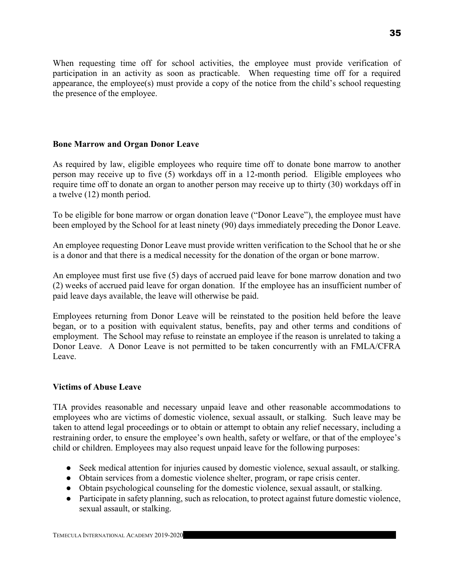When requesting time off for school activities, the employee must provide verification of participation in an activity as soon as practicable. When requesting time off for a required appearance, the employee(s) must provide a copy of the notice from the child's school requesting the presence of the employee.

#### Bone Marrow and Organ Donor Leave

As required by law, eligible employees who require time off to donate bone marrow to another person may receive up to five (5) workdays off in a 12-month period. Eligible employees who require time off to donate an organ to another person may receive up to thirty (30) workdays off in a twelve (12) month period.

To be eligible for bone marrow or organ donation leave ("Donor Leave"), the employee must have been employed by the School for at least ninety (90) days immediately preceding the Donor Leave.

An employee requesting Donor Leave must provide written verification to the School that he or she is a donor and that there is a medical necessity for the donation of the organ or bone marrow.

An employee must first use five (5) days of accrued paid leave for bone marrow donation and two (2) weeks of accrued paid leave for organ donation. If the employee has an insufficient number of paid leave days available, the leave will otherwise be paid.

Employees returning from Donor Leave will be reinstated to the position held before the leave began, or to a position with equivalent status, benefits, pay and other terms and conditions of employment. The School may refuse to reinstate an employee if the reason is unrelated to taking a Donor Leave. A Donor Leave is not permitted to be taken concurrently with an FMLA/CFRA Leave.

#### Victims of Abuse Leave

TIA provides reasonable and necessary unpaid leave and other reasonable accommodations to employees who are victims of domestic violence, sexual assault, or stalking. Such leave may be taken to attend legal proceedings or to obtain or attempt to obtain any relief necessary, including a restraining order, to ensure the employee's own health, safety or welfare, or that of the employee's child or children. Employees may also request unpaid leave for the following purposes:

- Seek medical attention for injuries caused by domestic violence, sexual assault, or stalking.
- Obtain services from a domestic violence shelter, program, or rape crisis center.
- Obtain psychological counseling for the domestic violence, sexual assault, or stalking.
- Participate in safety planning, such as relocation, to protect against future domestic violence, sexual assault, or stalking.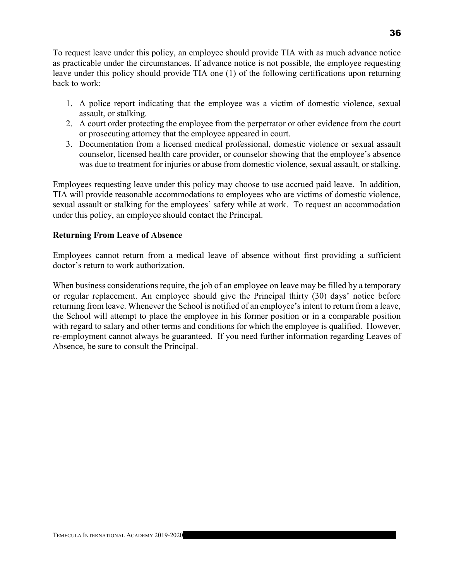To request leave under this policy, an employee should provide TIA with as much advance notice as practicable under the circumstances. If advance notice is not possible, the employee requesting leave under this policy should provide TIA one (1) of the following certifications upon returning back to work:

- 1. A police report indicating that the employee was a victim of domestic violence, sexual assault, or stalking.
- 2. A court order protecting the employee from the perpetrator or other evidence from the court or prosecuting attorney that the employee appeared in court.
- 3. Documentation from a licensed medical professional, domestic violence or sexual assault counselor, licensed health care provider, or counselor showing that the employee's absence was due to treatment for injuries or abuse from domestic violence, sexual assault, or stalking.

Employees requesting leave under this policy may choose to use accrued paid leave. In addition, TIA will provide reasonable accommodations to employees who are victims of domestic violence, sexual assault or stalking for the employees' safety while at work. To request an accommodation under this policy, an employee should contact the Principal.

#### Returning From Leave of Absence

Employees cannot return from a medical leave of absence without first providing a sufficient doctor's return to work authorization.

When business considerations require, the job of an employee on leave may be filled by a temporary or regular replacement. An employee should give the Principal thirty (30) days' notice before returning from leave. Whenever the School is notified of an employee's intent to return from a leave, the School will attempt to place the employee in his former position or in a comparable position with regard to salary and other terms and conditions for which the employee is qualified. However, re-employment cannot always be guaranteed. If you need further information regarding Leaves of Absence, be sure to consult the Principal.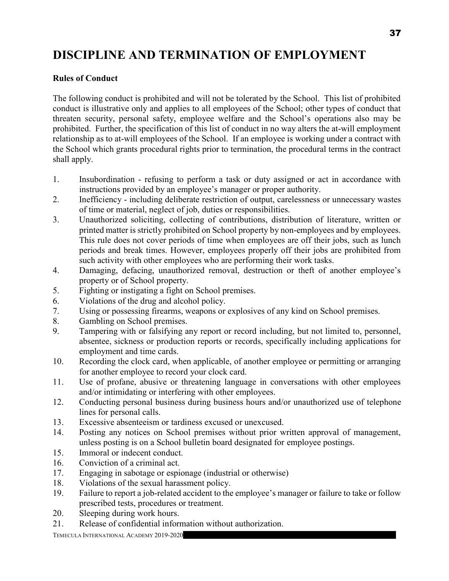# DISCIPLINE AND TERMINATION OF EMPLOYMENT

#### Rules of Conduct

The following conduct is prohibited and will not be tolerated by the School. This list of prohibited conduct is illustrative only and applies to all employees of the School; other types of conduct that threaten security, personal safety, employee welfare and the School's operations also may be prohibited. Further, the specification of this list of conduct in no way alters the at-will employment relationship as to at-will employees of the School. If an employee is working under a contract with the School which grants procedural rights prior to termination, the procedural terms in the contract shall apply.

- 1. Insubordination refusing to perform a task or duty assigned or act in accordance with instructions provided by an employee's manager or proper authority.
- 2. Inefficiency including deliberate restriction of output, carelessness or unnecessary wastes of time or material, neglect of job, duties or responsibilities.
- 3. Unauthorized soliciting, collecting of contributions, distribution of literature, written or printed matter is strictly prohibited on School property by non-employees and by employees. This rule does not cover periods of time when employees are off their jobs, such as lunch periods and break times. However, employees properly off their jobs are prohibited from such activity with other employees who are performing their work tasks.
- 4. Damaging, defacing, unauthorized removal, destruction or theft of another employee's property or of School property.
- 5. Fighting or instigating a fight on School premises.
- 6. Violations of the drug and alcohol policy.
- 7. Using or possessing firearms, weapons or explosives of any kind on School premises.
- 8. Gambling on School premises.
- 9. Tampering with or falsifying any report or record including, but not limited to, personnel, absentee, sickness or production reports or records, specifically including applications for employment and time cards.
- 10. Recording the clock card, when applicable, of another employee or permitting or arranging for another employee to record your clock card.
- 11. Use of profane, abusive or threatening language in conversations with other employees and/or intimidating or interfering with other employees.
- 12. Conducting personal business during business hours and/or unauthorized use of telephone lines for personal calls.
- 13. Excessive absenteeism or tardiness excused or unexcused.
- 14. Posting any notices on School premises without prior written approval of management, unless posting is on a School bulletin board designated for employee postings.
- 15. Immoral or indecent conduct.
- 16. Conviction of a criminal act.
- 17. Engaging in sabotage or espionage (industrial or otherwise)
- 18. Violations of the sexual harassment policy.
- 19. Failure to report a job-related accident to the employee's manager or failure to take or follow prescribed tests, procedures or treatment.
- 20. Sleeping during work hours.
- 21. Release of confidential information without authorization.

TEMECULA INTERNATIONAL ACADEMY 2019-2020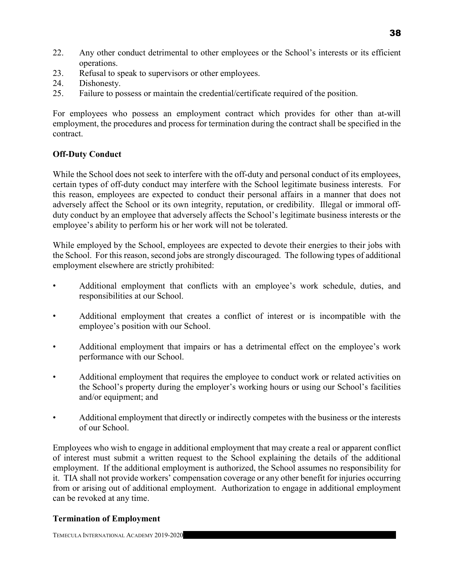- 22. Any other conduct detrimental to other employees or the School's interests or its efficient operations.
- 23. Refusal to speak to supervisors or other employees.
- 24. Dishonesty.
- 25. Failure to possess or maintain the credential/certificate required of the position.

For employees who possess an employment contract which provides for other than at-will employment, the procedures and process for termination during the contract shall be specified in the contract.

# Off-Duty Conduct

While the School does not seek to interfere with the off-duty and personal conduct of its employees, certain types of off-duty conduct may interfere with the School legitimate business interests. For this reason, employees are expected to conduct their personal affairs in a manner that does not adversely affect the School or its own integrity, reputation, or credibility. Illegal or immoral offduty conduct by an employee that adversely affects the School's legitimate business interests or the employee's ability to perform his or her work will not be tolerated.

While employed by the School, employees are expected to devote their energies to their jobs with the School. For this reason, second jobs are strongly discouraged. The following types of additional employment elsewhere are strictly prohibited:

- Additional employment that conflicts with an employee's work schedule, duties, and responsibilities at our School.
- Additional employment that creates a conflict of interest or is incompatible with the employee's position with our School.
- Additional employment that impairs or has a detrimental effect on the employee's work performance with our School.
- Additional employment that requires the employee to conduct work or related activities on the School's property during the employer's working hours or using our School's facilities and/or equipment; and
- Additional employment that directly or indirectly competes with the business or the interests of our School.

Employees who wish to engage in additional employment that may create a real or apparent conflict of interest must submit a written request to the School explaining the details of the additional employment. If the additional employment is authorized, the School assumes no responsibility for it. TIA shall not provide workers' compensation coverage or any other benefit for injuries occurring from or arising out of additional employment. Authorization to engage in additional employment can be revoked at any time.

#### Termination of Employment

TEMECULA INTERNATIONAL ACADEMY 2019-2020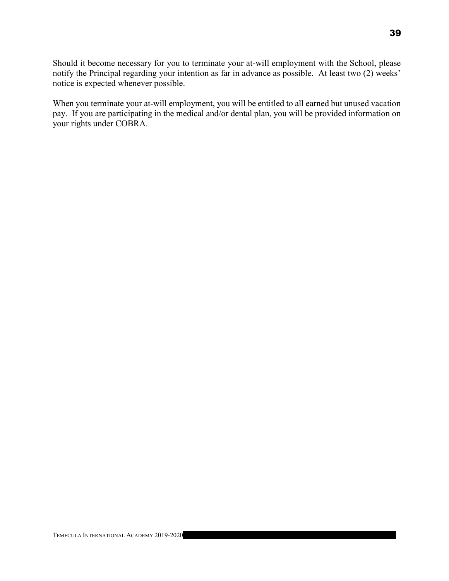Should it become necessary for you to terminate your at-will employment with the School, please notify the Principal regarding your intention as far in advance as possible. At least two (2) weeks' notice is expected whenever possible.

When you terminate your at-will employment, you will be entitled to all earned but unused vacation pay. If you are participating in the medical and/or dental plan, you will be provided information on your rights under COBRA.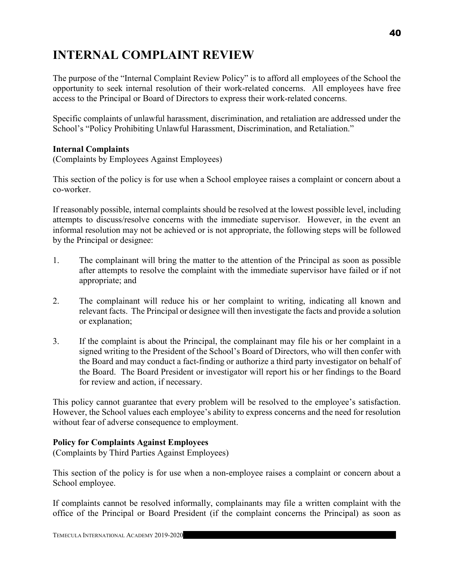# INTERNAL COMPLAINT REVIEW

The purpose of the "Internal Complaint Review Policy" is to afford all employees of the School the opportunity to seek internal resolution of their work-related concerns. All employees have free access to the Principal or Board of Directors to express their work-related concerns.

Specific complaints of unlawful harassment, discrimination, and retaliation are addressed under the School's "Policy Prohibiting Unlawful Harassment, Discrimination, and Retaliation."

#### Internal Complaints

(Complaints by Employees Against Employees)

This section of the policy is for use when a School employee raises a complaint or concern about a co-worker.

If reasonably possible, internal complaints should be resolved at the lowest possible level, including attempts to discuss/resolve concerns with the immediate supervisor. However, in the event an informal resolution may not be achieved or is not appropriate, the following steps will be followed by the Principal or designee:

- 1. The complainant will bring the matter to the attention of the Principal as soon as possible after attempts to resolve the complaint with the immediate supervisor have failed or if not appropriate; and
- 2. The complainant will reduce his or her complaint to writing, indicating all known and relevant facts. The Principal or designee will then investigate the facts and provide a solution or explanation;
- 3. If the complaint is about the Principal, the complainant may file his or her complaint in a signed writing to the President of the School's Board of Directors, who will then confer with the Board and may conduct a fact-finding or authorize a third party investigator on behalf of the Board. The Board President or investigator will report his or her findings to the Board for review and action, if necessary.

This policy cannot guarantee that every problem will be resolved to the employee's satisfaction. However, the School values each employee's ability to express concerns and the need for resolution without fear of adverse consequence to employment.

#### Policy for Complaints Against Employees

(Complaints by Third Parties Against Employees)

This section of the policy is for use when a non-employee raises a complaint or concern about a School employee.

If complaints cannot be resolved informally, complainants may file a written complaint with the office of the Principal or Board President (if the complaint concerns the Principal) as soon as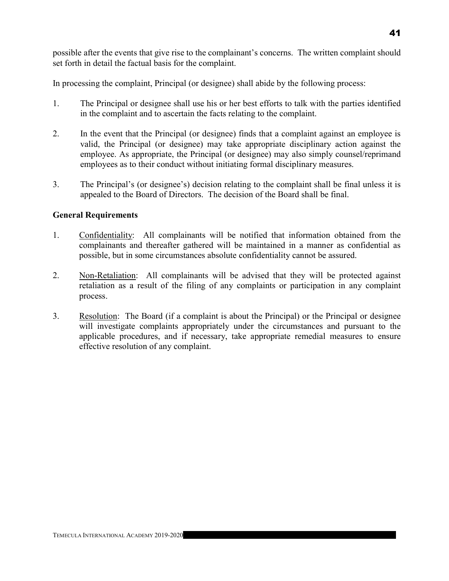In processing the complaint, Principal (or designee) shall abide by the following process:

- 1. The Principal or designee shall use his or her best efforts to talk with the parties identified in the complaint and to ascertain the facts relating to the complaint.
- 2. In the event that the Principal (or designee) finds that a complaint against an employee is valid, the Principal (or designee) may take appropriate disciplinary action against the employee. As appropriate, the Principal (or designee) may also simply counsel/reprimand employees as to their conduct without initiating formal disciplinary measures.
- 3. The Principal's (or designee's) decision relating to the complaint shall be final unless it is appealed to the Board of Directors. The decision of the Board shall be final.

# General Requirements

- 1. Confidentiality: All complainants will be notified that information obtained from the complainants and thereafter gathered will be maintained in a manner as confidential as possible, but in some circumstances absolute confidentiality cannot be assured.
- 2. Non-Retaliation: All complainants will be advised that they will be protected against retaliation as a result of the filing of any complaints or participation in any complaint process.
- 3. Resolution: The Board (if a complaint is about the Principal) or the Principal or designee will investigate complaints appropriately under the circumstances and pursuant to the applicable procedures, and if necessary, take appropriate remedial measures to ensure effective resolution of any complaint.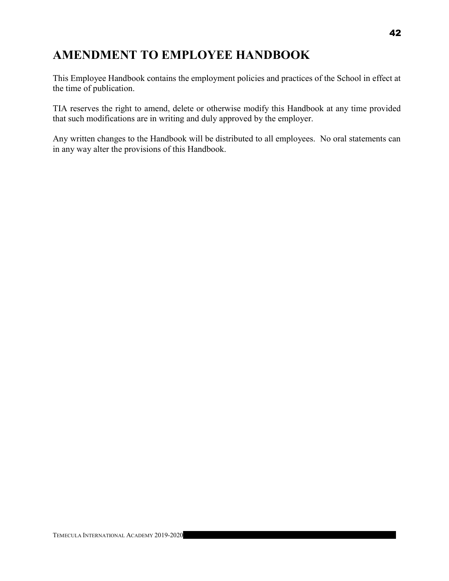# AMENDMENT TO EMPLOYEE HANDBOOK

This Employee Handbook contains the employment policies and practices of the School in effect at the time of publication.

TIA reserves the right to amend, delete or otherwise modify this Handbook at any time provided that such modifications are in writing and duly approved by the employer.

Any written changes to the Handbook will be distributed to all employees. No oral statements can in any way alter the provisions of this Handbook.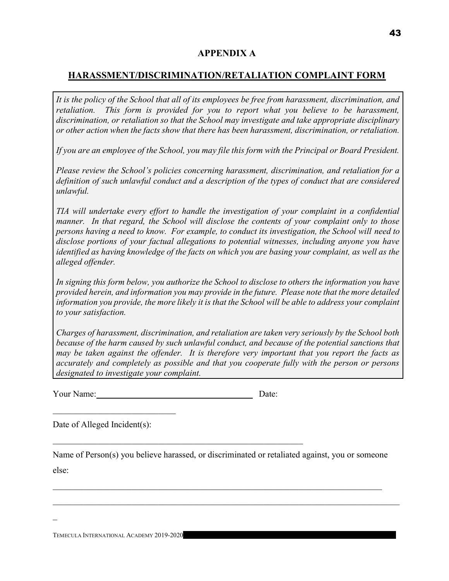## APPENDIX A

# HARASSMENT/DISCRIMINATION/RETALIATION COMPLAINT FORM

It is the policy of the School that all of its employees be free from harassment, discrimination, and retaliation. This form is provided for you to report what you believe to be harassment, discrimination, or retaliation so that the School may investigate and take appropriate disciplinary or other action when the facts show that there has been harassment, discrimination, or retaliation.

If you are an employee of the School, you may file this form with the Principal or Board President.

Please review the School's policies concerning harassment, discrimination, and retaliation for a definition of such unlawful conduct and a description of the types of conduct that are considered unlawful.

TIA will undertake every effort to handle the investigation of your complaint in a confidential manner. In that regard, the School will disclose the contents of your complaint only to those persons having a need to know. For example, to conduct its investigation, the School will need to disclose portions of your factual allegations to potential witnesses, including anyone you have identified as having knowledge of the facts on which you are basing your complaint, as well as the alleged offender.

In signing this form below, you authorize the School to disclose to others the information you have provided herein, and information you may provide in the future. Please note that the more detailed information you provide, the more likely it is that the School will be able to address your complaint to your satisfaction.

Charges of harassment, discrimination, and retaliation are taken very seriously by the School both because of the harm caused by such unlawful conduct, and because of the potential sanctions that may be taken against the offender. It is therefore very important that you report the facts as accurately and completely as possible and that you cooperate fully with the person or persons designated to investigate your complaint.

Your Name: Date:

 $\overline{a}$ 

Date of Alleged Incident(s):

Name of Person(s) you believe harassed, or discriminated or retaliated against, you or someone else:

 $\mathcal{L}_\text{max}$  and  $\mathcal{L}_\text{max}$  and  $\mathcal{L}_\text{max}$  and  $\mathcal{L}_\text{max}$  and  $\mathcal{L}_\text{max}$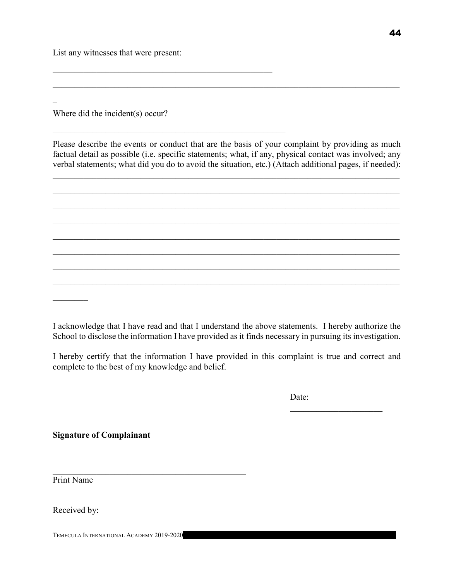List any witnesses that were present:

Where did the incident(s) occur?

Please describe the events or conduct that are the basis of your complaint by providing as much factual detail as possible (i.e. specific statements; what, if any, physical contact was involved; any verbal statements; what did you do to avoid the situation, etc.) (Attach additional pages, if needed):

 $\mathcal{L}_\mathcal{L} = \mathcal{L}_\mathcal{L} = \mathcal{L}_\mathcal{L} = \mathcal{L}_\mathcal{L} = \mathcal{L}_\mathcal{L} = \mathcal{L}_\mathcal{L} = \mathcal{L}_\mathcal{L} = \mathcal{L}_\mathcal{L} = \mathcal{L}_\mathcal{L} = \mathcal{L}_\mathcal{L} = \mathcal{L}_\mathcal{L} = \mathcal{L}_\mathcal{L} = \mathcal{L}_\mathcal{L} = \mathcal{L}_\mathcal{L} = \mathcal{L}_\mathcal{L} = \mathcal{L}_\mathcal{L} = \mathcal{L}_\mathcal{L}$ 

 $\mathcal{L}_\mathcal{L} = \mathcal{L}_\mathcal{L} = \mathcal{L}_\mathcal{L} = \mathcal{L}_\mathcal{L} = \mathcal{L}_\mathcal{L} = \mathcal{L}_\mathcal{L} = \mathcal{L}_\mathcal{L} = \mathcal{L}_\mathcal{L} = \mathcal{L}_\mathcal{L} = \mathcal{L}_\mathcal{L} = \mathcal{L}_\mathcal{L} = \mathcal{L}_\mathcal{L} = \mathcal{L}_\mathcal{L} = \mathcal{L}_\mathcal{L} = \mathcal{L}_\mathcal{L} = \mathcal{L}_\mathcal{L} = \mathcal{L}_\mathcal{L}$ 



I hereby certify that the information I have provided in this complaint is true and correct and complete to the best of my knowledge and belief.

<u>Date:</u>

Signature of Complainant

Print Name

Received by:

TEMECULA INTERNATIONAL ACADEMY 2019-2020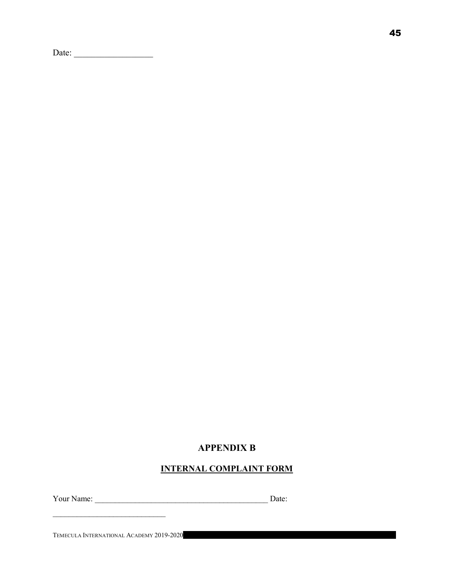Date: \_\_\_\_\_\_\_\_\_\_\_\_\_\_\_\_\_\_

# APPENDIX B

## INTERNAL COMPLAINT FORM

Your Name: \_\_\_\_\_\_\_\_\_\_\_\_\_\_\_\_\_\_\_\_\_\_\_\_\_\_\_\_\_\_\_\_\_\_\_\_\_\_\_\_\_\_\_ Date:

TEMECULA INTERNATIONAL ACADEMY 2019-2020

 $\mathcal{L}_\text{max}$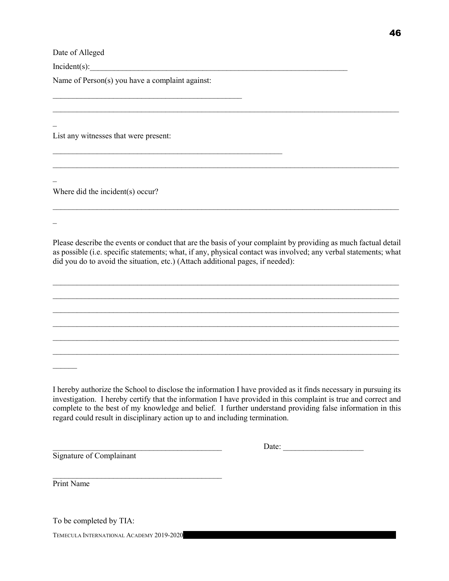Date of Alleged

 $Incident(s):$ 

 $\overline{a}$ 

 $\mathcal{L}(\mathcal{L})$ 

 $\overline{a}$ 

Name of Person(s) you have a complaint against:

 $\mathcal{L}_\text{max}$  and the contract of the contract of the contract of the contract of the contract of the contract of the contract of the contract of the contract of the contract of the contract of the contract of the contrac

 $\mathcal{L}_\text{max}$  and the contract of the contract of the contract of the contract of the contract of the contract of the contract of the contract of the contract of the contract of the contract of the contract of the contrac

List any witnesses that were present:

Where did the incident(s) occur?

Please describe the events or conduct that are the basis of your complaint by providing as much factual detail as possible (i.e. specific statements; what, if any, physical contact was involved; any verbal statements; what did you do to avoid the situation, etc.) (Attach additional pages, if needed):

 $\mathcal{L}_\mathcal{L} = \{ \mathcal{L}_\mathcal{L} = \{ \mathcal{L}_\mathcal{L} = \{ \mathcal{L}_\mathcal{L} = \{ \mathcal{L}_\mathcal{L} = \{ \mathcal{L}_\mathcal{L} = \{ \mathcal{L}_\mathcal{L} = \{ \mathcal{L}_\mathcal{L} = \{ \mathcal{L}_\mathcal{L} = \{ \mathcal{L}_\mathcal{L} = \{ \mathcal{L}_\mathcal{L} = \{ \mathcal{L}_\mathcal{L} = \{ \mathcal{L}_\mathcal{L} = \{ \mathcal{L}_\mathcal{L} = \{ \mathcal{L}_\mathcal{$  $\mathcal{L}_\mathcal{L} = \{ \mathcal{L}_\mathcal{L} = \{ \mathcal{L}_\mathcal{L} = \{ \mathcal{L}_\mathcal{L} = \{ \mathcal{L}_\mathcal{L} = \{ \mathcal{L}_\mathcal{L} = \{ \mathcal{L}_\mathcal{L} = \{ \mathcal{L}_\mathcal{L} = \{ \mathcal{L}_\mathcal{L} = \{ \mathcal{L}_\mathcal{L} = \{ \mathcal{L}_\mathcal{L} = \{ \mathcal{L}_\mathcal{L} = \{ \mathcal{L}_\mathcal{L} = \{ \mathcal{L}_\mathcal{L} = \{ \mathcal{L}_\mathcal{$  $\mathcal{L}_\mathcal{L} = \{ \mathcal{L}_\mathcal{L} = \{ \mathcal{L}_\mathcal{L} = \{ \mathcal{L}_\mathcal{L} = \{ \mathcal{L}_\mathcal{L} = \{ \mathcal{L}_\mathcal{L} = \{ \mathcal{L}_\mathcal{L} = \{ \mathcal{L}_\mathcal{L} = \{ \mathcal{L}_\mathcal{L} = \{ \mathcal{L}_\mathcal{L} = \{ \mathcal{L}_\mathcal{L} = \{ \mathcal{L}_\mathcal{L} = \{ \mathcal{L}_\mathcal{L} = \{ \mathcal{L}_\mathcal{L} = \{ \mathcal{L}_\mathcal{$  $\mathcal{L}_\mathcal{L} = \{ \mathcal{L}_\mathcal{L} = \{ \mathcal{L}_\mathcal{L} = \{ \mathcal{L}_\mathcal{L} = \{ \mathcal{L}_\mathcal{L} = \{ \mathcal{L}_\mathcal{L} = \{ \mathcal{L}_\mathcal{L} = \{ \mathcal{L}_\mathcal{L} = \{ \mathcal{L}_\mathcal{L} = \{ \mathcal{L}_\mathcal{L} = \{ \mathcal{L}_\mathcal{L} = \{ \mathcal{L}_\mathcal{L} = \{ \mathcal{L}_\mathcal{L} = \{ \mathcal{L}_\mathcal{L} = \{ \mathcal{L}_\mathcal{$  $\mathcal{L}_\mathcal{L} = \{ \mathcal{L}_\mathcal{L} = \{ \mathcal{L}_\mathcal{L} = \{ \mathcal{L}_\mathcal{L} = \{ \mathcal{L}_\mathcal{L} = \{ \mathcal{L}_\mathcal{L} = \{ \mathcal{L}_\mathcal{L} = \{ \mathcal{L}_\mathcal{L} = \{ \mathcal{L}_\mathcal{L} = \{ \mathcal{L}_\mathcal{L} = \{ \mathcal{L}_\mathcal{L} = \{ \mathcal{L}_\mathcal{L} = \{ \mathcal{L}_\mathcal{L} = \{ \mathcal{L}_\mathcal{L} = \{ \mathcal{L}_\mathcal{$  $\mathcal{L}_\mathcal{L} = \{ \mathcal{L}_\mathcal{L} = \{ \mathcal{L}_\mathcal{L} = \{ \mathcal{L}_\mathcal{L} = \{ \mathcal{L}_\mathcal{L} = \{ \mathcal{L}_\mathcal{L} = \{ \mathcal{L}_\mathcal{L} = \{ \mathcal{L}_\mathcal{L} = \{ \mathcal{L}_\mathcal{L} = \{ \mathcal{L}_\mathcal{L} = \{ \mathcal{L}_\mathcal{L} = \{ \mathcal{L}_\mathcal{L} = \{ \mathcal{L}_\mathcal{L} = \{ \mathcal{L}_\mathcal{L} = \{ \mathcal{L}_\mathcal{$ 

 $\mathcal{L}_\mathcal{L} = \{ \mathcal{L}_\mathcal{L} = \{ \mathcal{L}_\mathcal{L} = \{ \mathcal{L}_\mathcal{L} = \{ \mathcal{L}_\mathcal{L} = \{ \mathcal{L}_\mathcal{L} = \{ \mathcal{L}_\mathcal{L} = \{ \mathcal{L}_\mathcal{L} = \{ \mathcal{L}_\mathcal{L} = \{ \mathcal{L}_\mathcal{L} = \{ \mathcal{L}_\mathcal{L} = \{ \mathcal{L}_\mathcal{L} = \{ \mathcal{L}_\mathcal{L} = \{ \mathcal{L}_\mathcal{L} = \{ \mathcal{L}_\mathcal{$ 

 $\mathcal{L}_\mathcal{L} = \{ \mathcal{L}_\mathcal{L} = \{ \mathcal{L}_\mathcal{L} = \{ \mathcal{L}_\mathcal{L} = \{ \mathcal{L}_\mathcal{L} = \{ \mathcal{L}_\mathcal{L} = \{ \mathcal{L}_\mathcal{L} = \{ \mathcal{L}_\mathcal{L} = \{ \mathcal{L}_\mathcal{L} = \{ \mathcal{L}_\mathcal{L} = \{ \mathcal{L}_\mathcal{L} = \{ \mathcal{L}_\mathcal{L} = \{ \mathcal{L}_\mathcal{L} = \{ \mathcal{L}_\mathcal{L} = \{ \mathcal{L}_\mathcal{$ 

I hereby authorize the School to disclose the information I have provided as it finds necessary in pursuing its investigation. I hereby certify that the information I have provided in this complaint is true and correct and complete to the best of my knowledge and belief. I further understand providing false information in this regard could result in disciplinary action up to and including termination.

Signature of Complainant

\_\_\_\_\_\_\_\_\_\_\_\_\_\_\_\_\_\_\_\_\_\_\_\_\_\_\_\_\_\_\_\_\_\_\_\_\_\_\_\_\_\_ Date: \_\_\_\_\_\_\_\_\_\_\_\_\_\_\_\_\_\_\_\_

Print Name

 $\mathcal{L}=\mathcal{L}$ 

To be completed by TIA:

TEMECULA INTERNATIONAL ACADEMY 2019-2020

 $\mathcal{L}_\text{max}$